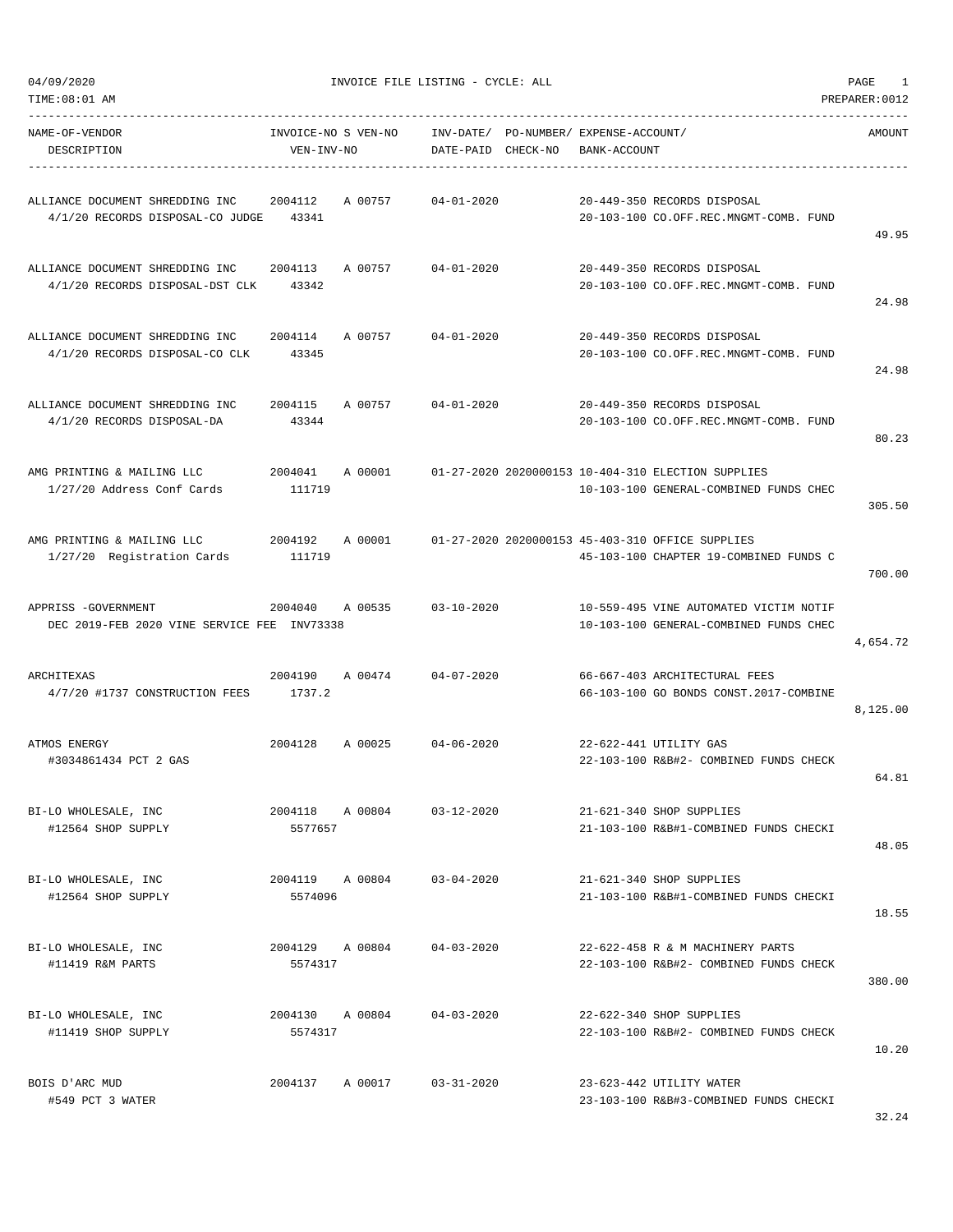| NAME-OF-VENDOR<br>DESCRIPTION                                       | INVOICE-NO S VEN-NO<br>VEN-INV-NO |                 | DATE-PAID CHECK-NO | INV-DATE/ PO-NUMBER/ EXPENSE-ACCOUNT/<br>BANK-ACCOUNT                                        | AMOUNT   |
|---------------------------------------------------------------------|-----------------------------------|-----------------|--------------------|----------------------------------------------------------------------------------------------|----------|
| ALLIANCE DOCUMENT SHREDDING INC<br>4/1/20 RECORDS DISPOSAL-CO JUDGE | 2004112<br>43341                  | A 00757         | $04 - 01 - 2020$   | 20-449-350 RECORDS DISPOSAL<br>20-103-100 CO.OFF.REC.MNGMT-COMB. FUND                        | 49.95    |
| ALLIANCE DOCUMENT SHREDDING INC<br>4/1/20 RECORDS DISPOSAL-DST CLK  | 2004113<br>43342                  | A 00757         | $04 - 01 - 2020$   | 20-449-350 RECORDS DISPOSAL<br>20-103-100 CO.OFF.REC.MNGMT-COMB. FUND                        | 24.98    |
| ALLIANCE DOCUMENT SHREDDING INC<br>4/1/20 RECORDS DISPOSAL-CO CLK   | 2004114<br>43345                  | A 00757         | $04 - 01 - 2020$   | 20-449-350 RECORDS DISPOSAL<br>20-103-100 CO.OFF.REC.MNGMT-COMB. FUND                        | 24.98    |
| ALLIANCE DOCUMENT SHREDDING INC<br>4/1/20 RECORDS DISPOSAL-DA       | 2004115<br>43344                  | A 00757         | $04 - 01 - 2020$   | 20-449-350 RECORDS DISPOSAL<br>20-103-100 CO.OFF.REC.MNGMT-COMB. FUND                        | 80.23    |
| AMG PRINTING & MAILING LLC<br>1/27/20 Address Conf Cards            | 2004041<br>111719                 | A 00001         |                    | 01-27-2020 2020000153 10-404-310 ELECTION SUPPLIES<br>10-103-100 GENERAL-COMBINED FUNDS CHEC | 305.50   |
| AMG PRINTING & MAILING LLC<br>1/27/20 Registration Cards            | 2004192<br>111719                 | A 00001         |                    | 01-27-2020 2020000153 45-403-310 OFFICE SUPPLIES<br>45-103-100 CHAPTER 19-COMBINED FUNDS C   | 700.00   |
| APPRISS -GOVERNMENT<br>DEC 2019-FEB 2020 VINE SERVICE FEE INV73338  | 2004040                           | A 00535         | $03 - 10 - 2020$   | 10-559-495 VINE AUTOMATED VICTIM NOTIF<br>10-103-100 GENERAL-COMBINED FUNDS CHEC             | 4,654.72 |
| ARCHITEXAS<br>4/7/20 #1737 CONSTRUCTION FEES                        | 2004190<br>1737.2                 | A 00474         | $04 - 07 - 2020$   | 66-667-403 ARCHITECTURAL FEES<br>66-103-100 GO BONDS CONST.2017-COMBINE                      | 8,125.00 |
| ATMOS ENERGY<br>#3034861434 PCT 2 GAS                               | 2004128                           | A 00025         | $04 - 06 - 2020$   | 22-622-441 UTILITY GAS<br>22-103-100 R&B#2- COMBINED FUNDS CHECK                             | 64.81    |
| BI-LO WHOLESALE, INC<br>#12564 SHOP SUPPLY                          | 2004118<br>5577657                | A 00804         | $03 - 12 - 2020$   | 21-621-340 SHOP SUPPLIES<br>21-103-100 R&B#1-COMBINED FUNDS CHECKI                           | 48.05    |
| BI-LO WHOLESALE, INC<br>#12564 SHOP SUPPLY                          | 2004119 A 00804<br>5574096        |                 | $03 - 04 - 2020$   | 21-621-340 SHOP SUPPLIES<br>21-103-100 R&B#1-COMBINED FUNDS CHECKI                           | 18.55    |
| BI-LO WHOLESALE, INC<br>#11419 R&M PARTS                            | 2004129 A 00804<br>5574317        |                 | $04 - 03 - 2020$   | 22-622-458 R & M MACHINERY PARTS<br>22-103-100 R&B#2- COMBINED FUNDS CHECK                   | 380.00   |
| BI-LO WHOLESALE, INC<br>#11419 SHOP SUPPLY                          | 2004130 A 00804<br>5574317        |                 | $04 - 03 - 2020$   | 22-622-340 SHOP SUPPLIES<br>22-103-100 R&B#2- COMBINED FUNDS CHECK                           | 10.20    |
| BOIS D'ARC MUD<br>#549 PCT 3 WATER                                  |                                   | 2004137 A 00017 | $03 - 31 - 2020$   | 23-623-442 UTILITY WATER<br>23-103-100 R&B#3-COMBINED FUNDS CHECKI                           | 32.24    |

TIME:08:01 AM PREPARER:0012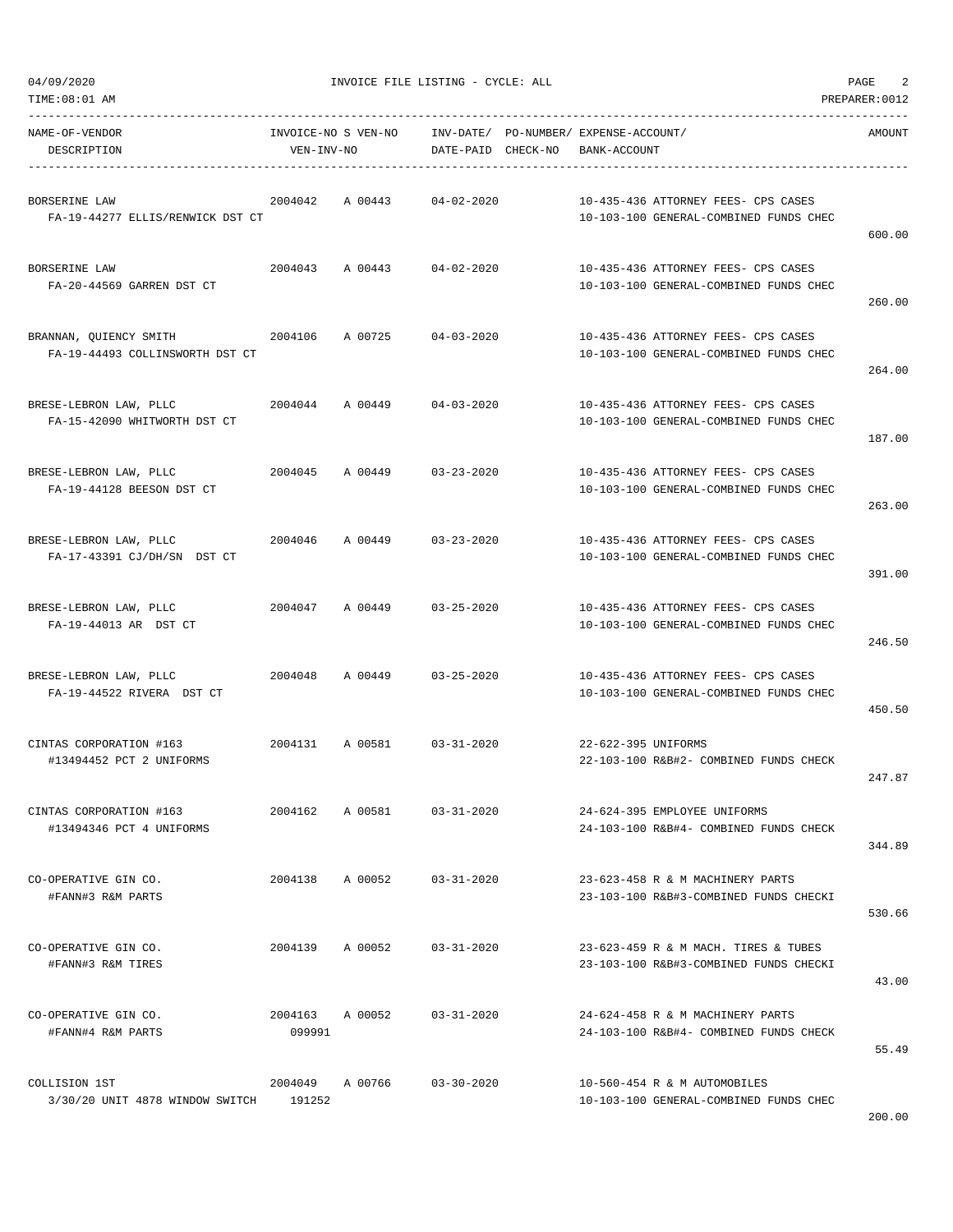----------------------------------------------------------------------------------------------------------------------------------- NAME-OF-VENDOR INVOICE-NO S VEN-NO INV-DATE/ PO-NUMBER/ EXPENSE-ACCOUNT/ AMOUNT

| DESCRIPTION                                                          | VEN-INV-NO        |                            | DATE-PAID CHECK-NO | BANK-ACCOUNT                                                                   |        |
|----------------------------------------------------------------------|-------------------|----------------------------|--------------------|--------------------------------------------------------------------------------|--------|
| BORSERINE LAW<br>FA-19-44277 ELLIS/RENWICK DST CT                    | 2004042           | A 00443                    | $04 - 02 - 2020$   | 10-435-436 ATTORNEY FEES- CPS CASES<br>10-103-100 GENERAL-COMBINED FUNDS CHEC  | 600.00 |
| BORSERINE LAW<br>FA-20-44569 GARREN DST CT                           |                   | 2004043 A 00443 04-02-2020 |                    | 10-435-436 ATTORNEY FEES- CPS CASES<br>10-103-100 GENERAL-COMBINED FUNDS CHEC  | 260.00 |
| BRANNAN, QUIENCY SMITH<br>2004106<br>FA-19-44493 COLLINSWORTH DST CT |                   | A 00725                    | $04 - 03 - 2020$   | 10-435-436 ATTORNEY FEES- CPS CASES<br>10-103-100 GENERAL-COMBINED FUNDS CHEC  | 264.00 |
| BRESE-LEBRON LAW, PLLC<br>FA-15-42090 WHITWORTH DST CT               | 2004044           | A 00449                    | 04-03-2020         | 10-435-436 ATTORNEY FEES- CPS CASES<br>10-103-100 GENERAL-COMBINED FUNDS CHEC  | 187.00 |
| BRESE-LEBRON LAW, PLLC<br>FA-19-44128 BEESON DST CT                  | 2004045           | A 00449 03-23-2020         |                    | 10-435-436 ATTORNEY FEES- CPS CASES<br>10-103-100 GENERAL-COMBINED FUNDS CHEC  | 263.00 |
| BRESE-LEBRON LAW, PLLC<br>FA-17-43391 CJ/DH/SN DST CT                | 2004046           | A 00449                    | $03 - 23 - 2020$   | 10-435-436 ATTORNEY FEES- CPS CASES<br>10-103-100 GENERAL-COMBINED FUNDS CHEC  | 391.00 |
| BRESE-LEBRON LAW, PLLC<br>FA-19-44013 AR DST CT                      | 2004047           | A 00449                    | $03 - 25 - 2020$   | 10-435-436 ATTORNEY FEES- CPS CASES<br>10-103-100 GENERAL-COMBINED FUNDS CHEC  | 246.50 |
| BRESE-LEBRON LAW, PLLC<br>FA-19-44522 RIVERA DST CT                  | 2004048           | A 00449                    | $03 - 25 - 2020$   | 10-435-436 ATTORNEY FEES- CPS CASES<br>10-103-100 GENERAL-COMBINED FUNDS CHEC  | 450.50 |
| CINTAS CORPORATION #163<br>#13494452 PCT 2 UNIFORMS                  | 2004131           | A 00581                    | $03 - 31 - 2020$   | 22-622-395 UNIFORMS<br>22-103-100 R&B#2- COMBINED FUNDS CHECK                  | 247.87 |
| CINTAS CORPORATION #163<br>#13494346 PCT 4 UNIFORMS                  | 2004162           | A 00581                    | $03 - 31 - 2020$   | 24-624-395 EMPLOYEE UNIFORMS<br>24-103-100 R&B#4- COMBINED FUNDS CHECK         | 344.89 |
| CO-OPERATIVE GIN CO.<br>#FANN#3 R&M PARTS                            | 2004138           | A 00052                    | $03 - 31 - 2020$   | 23-623-458 R & M MACHINERY PARTS<br>23-103-100 R&B#3-COMBINED FUNDS CHECKI     | 530.66 |
| CO-OPERATIVE GIN CO.<br>#FANN#3 R&M TIRES                            | 2004139           | A 00052                    | $03 - 31 - 2020$   | 23-623-459 R & M MACH. TIRES & TUBES<br>23-103-100 R&B#3-COMBINED FUNDS CHECKI | 43.00  |
| CO-OPERATIVE GIN CO.<br>#FANN#4 R&M PARTS                            | 2004163<br>099991 | A 00052                    | $03 - 31 - 2020$   | 24-624-458 R & M MACHINERY PARTS<br>24-103-100 R&B#4- COMBINED FUNDS CHECK     | 55.49  |
| COLLISION 1ST<br>3/30/20 UNIT 4878 WINDOW SWITCH                     | 2004049<br>191252 | A 00766                    | $03 - 30 - 2020$   | 10-560-454 R & M AUTOMOBILES<br>10-103-100 GENERAL-COMBINED FUNDS CHEC         |        |

TIME:08:01 AM PREPARER:0012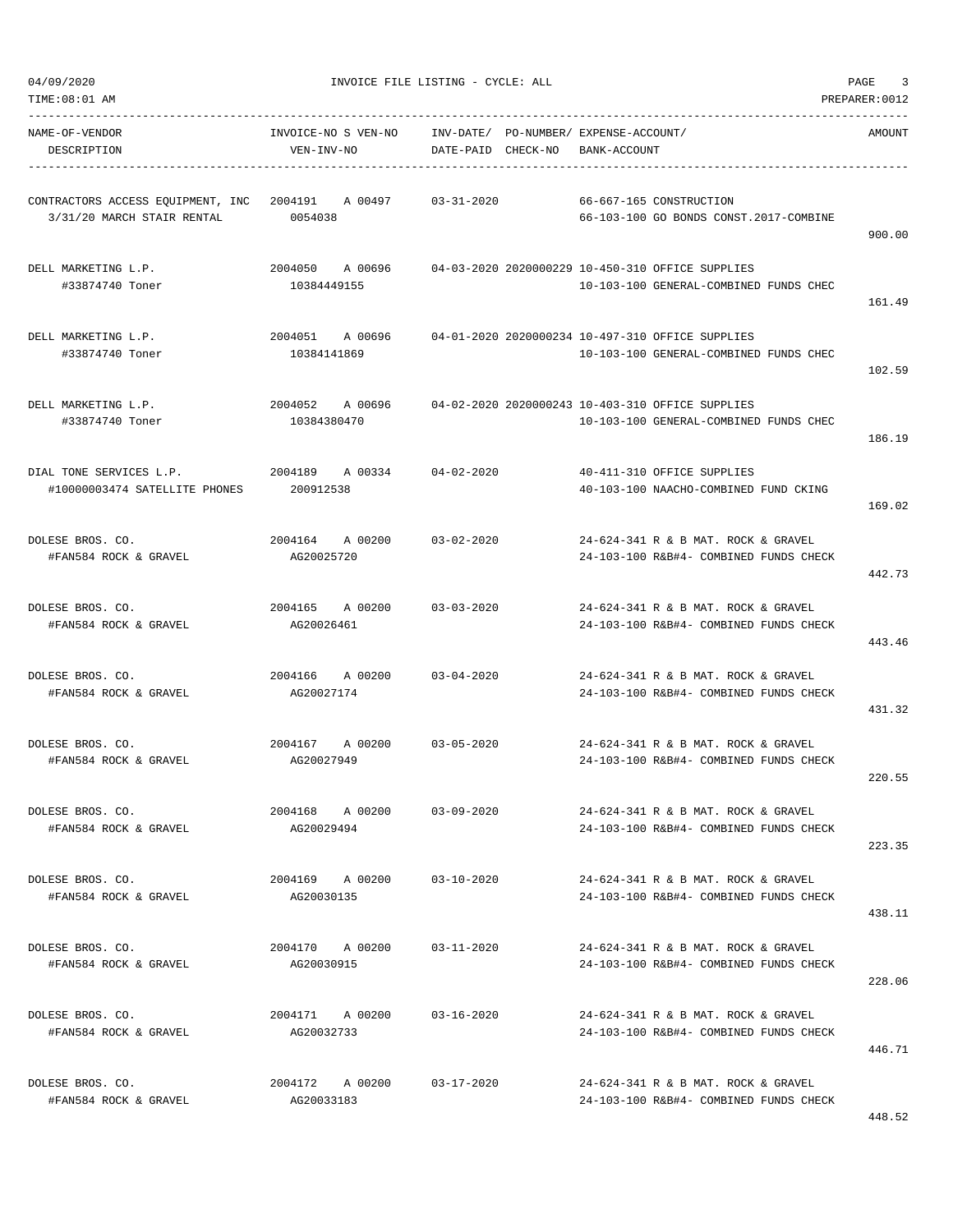| NAME-OF-VENDOR<br>DESCRIPTION                                                                  | INVOICE-NO S VEN-NO<br>VEN-INV-NO       | INV-DATE/ PO-NUMBER/ EXPENSE-ACCOUNT/<br>DATE-PAID CHECK-NO | BANK-ACCOUNT                                                                                               | AMOUNT |
|------------------------------------------------------------------------------------------------|-----------------------------------------|-------------------------------------------------------------|------------------------------------------------------------------------------------------------------------|--------|
| CONTRACTORS ACCESS EOUIPMENT, INC $2004191$ A 00497 $03-31-2020$<br>3/31/20 MARCH STAIR RENTAL | 0054038                                 |                                                             | 66-667-165 CONSTRUCTION<br>66-103-100 GO BONDS CONST.2017-COMBINE                                          | 900.00 |
| DELL MARKETING L.P.<br>#33874740 Toner                                                         | 10384449155                             |                                                             | 2004050 A 00696 04-03-2020 2020000229 10-450-310 OFFICE SUPPLIES<br>10-103-100 GENERAL-COMBINED FUNDS CHEC | 161.49 |
| DELL MARKETING L.P.<br>#33874740 Toner                                                         | 10384141869                             |                                                             | 2004051 A 00696 04-01-2020 2020000234 10-497-310 OFFICE SUPPLIES<br>10-103-100 GENERAL-COMBINED FUNDS CHEC | 102.59 |
| DELL MARKETING L.P.<br>#33874740 Toner                                                         | 2004052 A 00696<br>10384380470          |                                                             | 04-02-2020 2020000243 10-403-310 OFFICE SUPPLIES<br>10-103-100 GENERAL-COMBINED FUNDS CHEC                 | 186.19 |
| DIAL TONE SERVICES L.P.<br>#10000003474 SATELLITE PHONES                                       | 2004189 A 00334 04-02-2020<br>200912538 |                                                             | 40-411-310 OFFICE SUPPLIES<br>40-103-100 NAACHO-COMBINED FUND CKING                                        | 169.02 |
| DOLESE BROS. CO.<br>#FAN584 ROCK & GRAVEL                                                      | 2004164 A00200<br>AG20025720            | 03-02-2020                                                  | 24-624-341 R & B MAT. ROCK & GRAVEL<br>24-103-100 R&B#4- COMBINED FUNDS CHECK                              | 442.73 |
| DOLESE BROS. CO.<br>#FAN584 ROCK & GRAVEL                                                      | 2004165 A 00200<br>AG20026461           | 03-03-2020                                                  | 24-624-341 R & B MAT. ROCK & GRAVEL<br>24-103-100 R&B#4- COMBINED FUNDS CHECK                              | 443.46 |
| DOLESE BROS. CO.<br>#FAN584 ROCK & GRAVEL                                                      | 2004166 A 00200<br>AG20027174           | 03-04-2020                                                  | 24-624-341 R & B MAT. ROCK & GRAVEL<br>24-103-100 R&B#4- COMBINED FUNDS CHECK                              | 431.32 |
| DOLESE BROS. CO.<br>#FAN584 ROCK & GRAVEL                                                      | 2004167 A 00200<br>AG20027949           | $03 - 05 - 2020$                                            | 24-624-341 R & B MAT. ROCK & GRAVEL<br>24-103-100 R&B#4- COMBINED FUNDS CHECK                              | 220.55 |
| DOLESE BROS. CO.<br>#FAN584 ROCK & GRAVEL                                                      | 2004168 A 00200<br>AG20029494           | $03 - 09 - 2020$                                            | 24-624-341 R & B MAT. ROCK & GRAVEL<br>24-103-100 R&B#4- COMBINED FUNDS CHECK                              | 223.35 |
| DOLESE BROS. CO.<br>#FAN584 ROCK & GRAVEL                                                      | 2004169 A 00200<br>AG20030135           | $03 - 10 - 2020$                                            | 24-624-341 R & B MAT. ROCK & GRAVEL<br>24-103-100 R&B#4- COMBINED FUNDS CHECK                              | 438.11 |
| DOLESE BROS. CO.<br>#FAN584 ROCK & GRAVEL                                                      | 2004170 A 00200<br>AG20030915           | 03-11-2020                                                  | 24-624-341 R & B MAT. ROCK & GRAVEL<br>24-103-100 R&B#4- COMBINED FUNDS CHECK                              | 228.06 |
| DOLESE BROS. CO.<br>#FAN584 ROCK & GRAVEL                                                      | 2004171 A 00200<br>AG20032733           | 03-16-2020                                                  | 24-624-341 R & B MAT. ROCK & GRAVEL<br>24-103-100 R&B#4- COMBINED FUNDS CHECK                              | 446.71 |
| DOLESE BROS. CO.<br>#FAN584 ROCK & GRAVEL                                                      | 2004172 A 00200<br>AG20033183           | 03-17-2020                                                  | 24-624-341 R & B MAT. ROCK & GRAVEL<br>24-103-100 R&B#4- COMBINED FUNDS CHECK                              |        |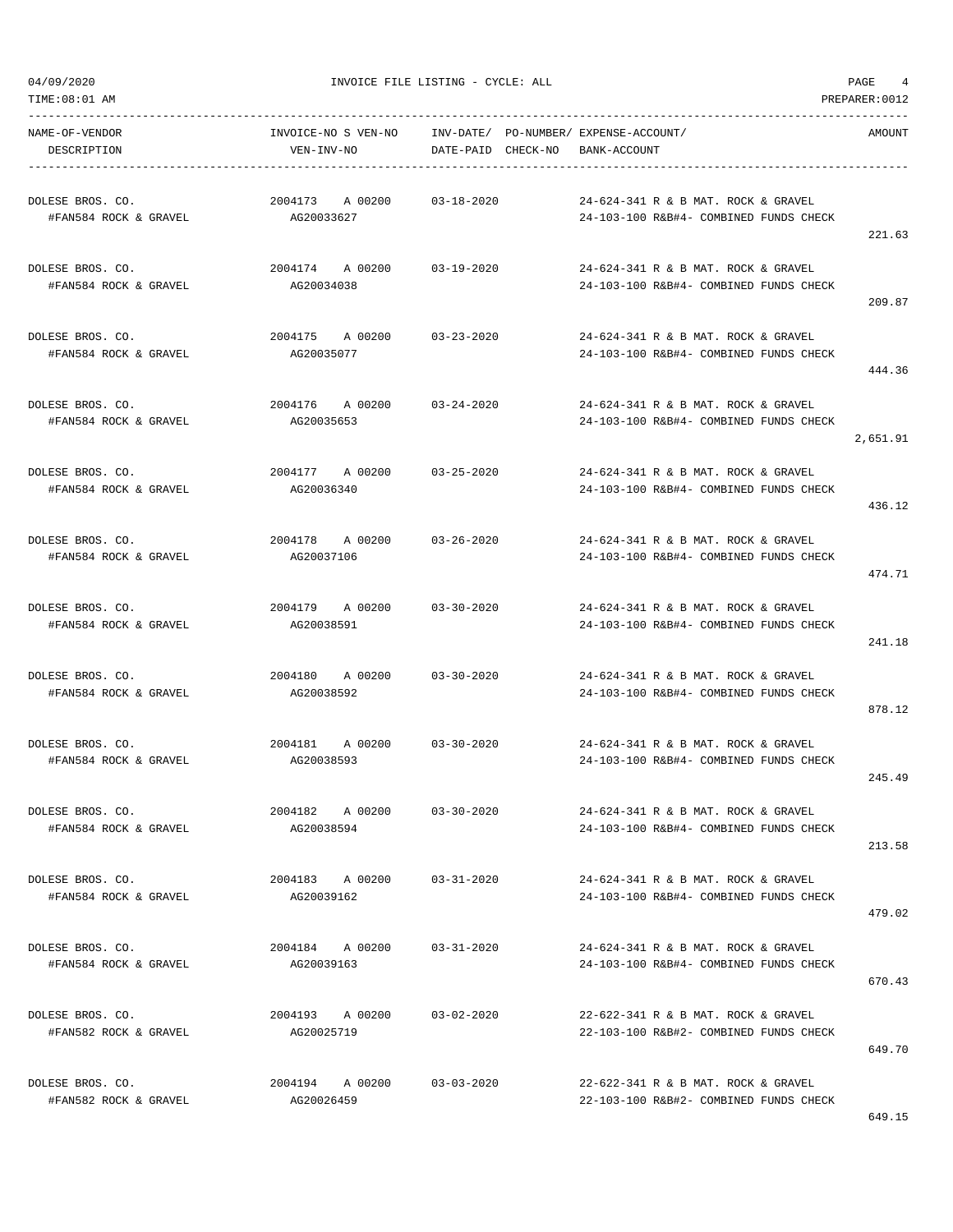TIME:08:01 AM PREPARER:0012

04/09/2020 INVOICE FILE LISTING - CYCLE: ALL PAGE 4

| NAME-OF-VENDOR<br>DESCRIPTION             | INVOICE-NO S VEN-NO<br>VEN-INV-NO | INV-DATE/ PO-NUMBER/ EXPENSE-ACCOUNT/<br>DATE-PAID CHECK-NO | BANK-ACCOUNT                                                                  | AMOUNT   |
|-------------------------------------------|-----------------------------------|-------------------------------------------------------------|-------------------------------------------------------------------------------|----------|
| DOLESE BROS. CO.<br>#FAN584 ROCK & GRAVEL | 2004173<br>A 00200<br>AG20033627  | $03 - 18 - 2020$                                            | 24-624-341 R & B MAT, ROCK & GRAVEL<br>24-103-100 R&B#4- COMBINED FUNDS CHECK | 221.63   |
| DOLESE BROS. CO.<br>#FAN584 ROCK & GRAVEL | 2004174 A 00200<br>AG20034038     | $03 - 19 - 2020$                                            | 24-624-341 R & B MAT. ROCK & GRAVEL<br>24-103-100 R&B#4- COMBINED FUNDS CHECK | 209.87   |
| DOLESE BROS. CO.<br>#FAN584 ROCK & GRAVEL | 2004175 A 00200<br>AG20035077     | $03 - 23 - 2020$                                            | 24-624-341 R & B MAT. ROCK & GRAVEL<br>24-103-100 R&B#4- COMBINED FUNDS CHECK | 444.36   |
| DOLESE BROS. CO.<br>#FAN584 ROCK & GRAVEL | 2004176<br>A 00200<br>AG20035653  | 03-24-2020                                                  | 24-624-341 R & B MAT. ROCK & GRAVEL<br>24-103-100 R&B#4- COMBINED FUNDS CHECK | 2,651.91 |
| DOLESE BROS. CO.<br>#FAN584 ROCK & GRAVEL | 2004177 A 00200<br>AG20036340     | 03-25-2020                                                  | 24-624-341 R & B MAT. ROCK & GRAVEL<br>24-103-100 R&B#4- COMBINED FUNDS CHECK | 436.12   |
| DOLESE BROS. CO.<br>#FAN584 ROCK & GRAVEL | 2004178 A 00200<br>AG20037106     | $03 - 26 - 2020$                                            | 24-624-341 R & B MAT. ROCK & GRAVEL<br>24-103-100 R&B#4- COMBINED FUNDS CHECK | 474.71   |
| DOLESE BROS. CO.<br>#FAN584 ROCK & GRAVEL | 2004179 A 00200<br>AG20038591     | $03 - 30 - 2020$                                            | 24-624-341 R & B MAT. ROCK & GRAVEL<br>24-103-100 R&B#4- COMBINED FUNDS CHECK | 241.18   |
| DOLESE BROS. CO.<br>#FAN584 ROCK & GRAVEL | 2004180 A 00200<br>AG20038592     | 03-30-2020                                                  | 24-624-341 R & B MAT. ROCK & GRAVEL<br>24-103-100 R&B#4- COMBINED FUNDS CHECK | 878.12   |
| DOLESE BROS. CO.<br>#FAN584 ROCK & GRAVEL | 2004181<br>A 00200<br>AG20038593  | $03 - 30 - 2020$                                            | 24-624-341 R & B MAT. ROCK & GRAVEL<br>24-103-100 R&B#4- COMBINED FUNDS CHECK | 245.49   |
| DOLESE BROS. CO.<br>#FAN584 ROCK & GRAVEL | 2004182 A 00200<br>AG20038594     | $03 - 30 - 2020$                                            | 24-624-341 R & B MAT. ROCK & GRAVEL<br>24-103-100 R&B#4- COMBINED FUNDS CHECK | 213.58   |
| DOLESE BROS. CO.<br>#FAN584 ROCK & GRAVEL | 2004183 A 00200<br>AG20039162     | $03 - 31 - 2020$                                            | 24-624-341 R & B MAT. ROCK & GRAVEL<br>24-103-100 R&B#4- COMBINED FUNDS CHECK | 479.02   |
| DOLESE BROS. CO.<br>#FAN584 ROCK & GRAVEL | 2004184 A 00200<br>AG20039163     | $03 - 31 - 2020$                                            | 24-624-341 R & B MAT. ROCK & GRAVEL<br>24-103-100 R&B#4- COMBINED FUNDS CHECK | 670.43   |
| DOLESE BROS. CO.<br>#FAN582 ROCK & GRAVEL | 2004193 A 00200<br>AG20025719     | $03 - 02 - 2020$                                            | 22-622-341 R & B MAT. ROCK & GRAVEL<br>22-103-100 R&B#2- COMBINED FUNDS CHECK | 649.70   |
| DOLESE BROS. CO.<br>#FAN582 ROCK & GRAVEL | 2004194 A 00200<br>AG20026459     | $03 - 03 - 2020$                                            | 22-622-341 R & B MAT. ROCK & GRAVEL<br>22-103-100 R&B#2- COMBINED FUNDS CHECK |          |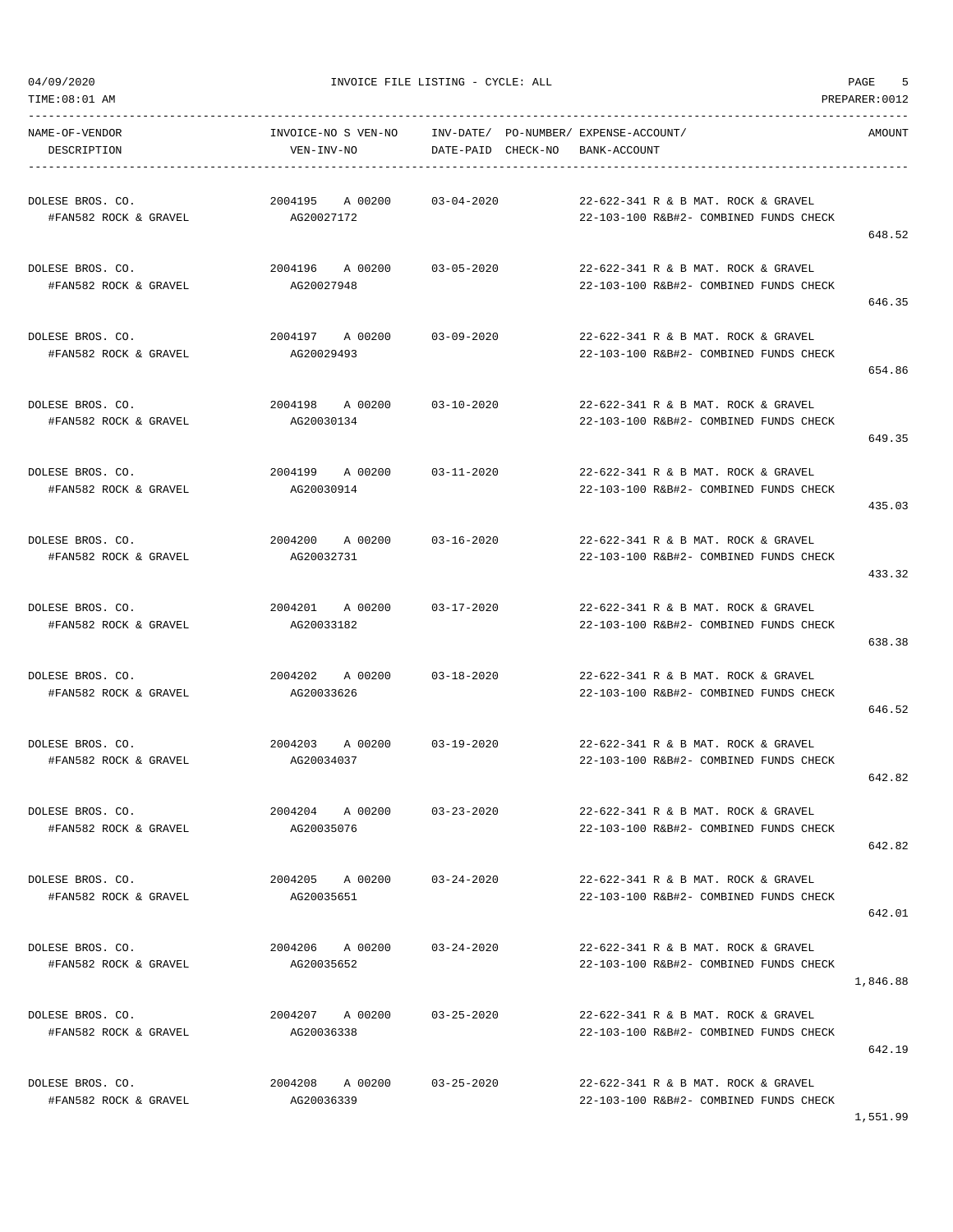TIME:08:01 AM PREPARER:0012

04/09/2020 INVOICE FILE LISTING - CYCLE: ALL PAGE 5

----------------------------------------------------------------------------------------------------------------------------------- NAME-OF-VENDOR INVOICE-NO S VEN-NO INV-DATE/ PO-NUMBER/ EXPENSE-ACCOUNT/ AMOUNT DESCRIPTION VEN-INV-NO DATE-PAID CHECK-NO BANK-ACCOUNT ----------------------------------------------------------------------------------------------------------------------------------- DOLESE BROS. CO. 2004195 A 00200 03-04-2020 22-622-341 R & B MAT. ROCK & GRAVEL #FAN582 ROCK & GRAVEL AG20027172 22-103-100 R&B#2- COMBINED FUNDS CHECK 648.52 DOLESE BROS. CO. 2004196 A 00200 03-05-2020 22-622-341 R & B MAT. ROCK & GRAVEL #FAN582 ROCK & GRAVEL AG20027948 22-103-100 R&B#2- COMBINED FUNDS CHECK 646.35 DOLESE BROS. CO. 2004197 A 00200 03-09-2020 22-622-341 R & B MAT. ROCK & GRAVEL #FAN582 ROCK & GRAVEL AG20029493 22-103-100 R&B#2- COMBINED FUNDS CHECK 654.86 DOLESE BROS. CO. 2004198 A 00200 03-10-2020 22-622-341 R & B MAT. ROCK & GRAVEL #FAN582 ROCK & GRAVEL AG20030134 22-103-100 R&B#2- COMBINED FUNDS CHECK 649.35 DOLESE BROS. CO. 2004199 A 00200 03-11-2020 22-622-341 R & B MAT. ROCK & GRAVEL #FAN582 ROCK & GRAVEL AG20030914 22-103-100 R&B#2- COMBINED FUNDS CHECK 435.03 DOLESE BROS. CO. 2004200 A 00200 03-16-2020 22-622-341 R & B MAT. ROCK & GRAVEL #FAN582 ROCK & GRAVEL AG20032731 22-103-100 R&B#2- COMBINED FUNDS CHECK 433.32 DOLESE BROS. CO. 2004201 A 00200 03-17-2020 22-622-341 R & B MAT. ROCK & GRAVEL #FAN582 ROCK & GRAVEL AG20033182 22-103-100 R&B#2- COMBINED FUNDS CHECK 638.38 DOLESE BROS. CO. 2004202 A 00200 03-18-2020 22-622-341 R & B MAT. ROCK & GRAVEL #FAN582 ROCK & GRAVEL AG20033626 22-103-100 R&B#2- COMBINED FUNDS CHECK 646.52 DOLESE BROS. CO. 2004203 A 00200 03-19-2020 22-622-341 R & B MAT. ROCK & GRAVEL #FAN582 ROCK & GRAVEL AG20034037 22-103-100 R&B#2- COMBINED FUNDS CHECK 642.82 DOLESE BROS. CO. 2004204 A 00200 03-23-2020 22-622-341 R & B MAT. ROCK & GRAVEL #FAN582 ROCK & GRAVEL AG20035076 22-103-100 R&B#2- COMBINED FUNDS CHECK 642.82 DOLESE BROS. CO. 2004205 A 00200 03-24-2020 22-622-341 R & B MAT. ROCK & GRAVEL #FAN582 ROCK & GRAVEL AG20035651 22-103-100 R&B#2- COMBINED FUNDS CHECK 642.01 DOLESE BROS. CO. 2004206 A 00200 03-24-2020 22-622-341 R & B MAT. ROCK & GRAVEL #FAN582 ROCK & GRAVEL AG20035652 22-103-100 R&B#2- COMBINED FUNDS CHECK 1,846.88 DOLESE BROS. CO. 2004207 A 00200 03-25-2020 22-622-341 R & B MAT. ROCK & GRAVEL #FAN582 ROCK & GRAVEL AG20036338 22-103-100 R&B#2- COMBINED FUNDS CHECK 642.19 DOLESE BROS. CO. 2004208 A 00200 03-25-2020 22-622-341 R & B MAT. ROCK & GRAVEL #FAN582 ROCK & GRAVEL AG20036339 22-103-100 R&B#2- COMBINED FUNDS CHECK

1,551.99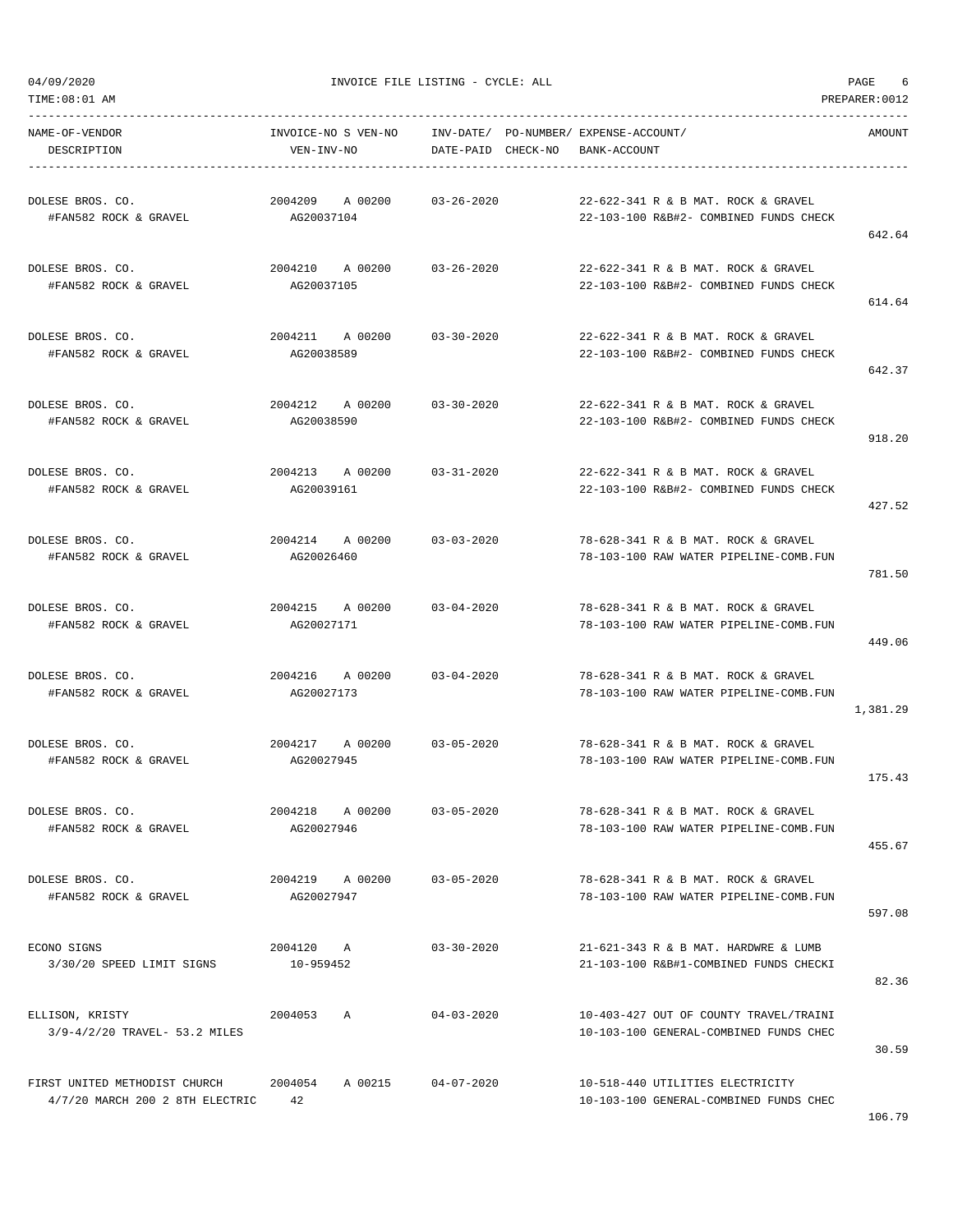TIME:08:01 AM PREPARER:0012

04/09/2020 INVOICE FILE LISTING - CYCLE: ALL PAGE 6

| NAME-OF-VENDOR<br>DESCRIPTION                                    | INVOICE-NO S VEN-NO INV-DATE/ PO-NUMBER/ EXPENSE-ACCOUNT/<br>VEN-INV-NO | DATE-PAID CHECK-NO BANK-ACCOUNT |                                                                                  | AMOUNT   |
|------------------------------------------------------------------|-------------------------------------------------------------------------|---------------------------------|----------------------------------------------------------------------------------|----------|
| DOLESE BROS. CO.<br>#FAN582 ROCK & GRAVEL                        | 2004209 A 00200<br>AG20037104                                           | 03-26-2020                      | 22-622-341 R & B MAT. ROCK & GRAVEL<br>22-103-100 R&B#2- COMBINED FUNDS CHECK    | 642.64   |
| DOLESE BROS. CO.<br>#FAN582 ROCK & GRAVEL                        | 2004210 A 00200<br>AG20037105                                           | 03-26-2020                      | 22-622-341 R & B MAT. ROCK & GRAVEL<br>22-103-100 R&B#2- COMBINED FUNDS CHECK    | 614.64   |
| DOLESE BROS. CO.<br>#FAN582 ROCK & GRAVEL                        | 2004211 A 00200<br>AG20038589                                           | $03 - 30 - 2020$                | 22-622-341 R & B MAT. ROCK & GRAVEL<br>22-103-100 R&B#2- COMBINED FUNDS CHECK    | 642.37   |
| DOLESE BROS. CO.<br>#FAN582 ROCK & GRAVEL                        | 2004212 A 00200 03-30-2020<br>AG20038590                                |                                 | 22-622-341 R & B MAT. ROCK & GRAVEL<br>22-103-100 R&B#2- COMBINED FUNDS CHECK    | 918.20   |
| DOLESE BROS. CO.<br>#FAN582 ROCK & GRAVEL                        | 2004213 A 00200<br>AG20039161                                           | $03 - 31 - 2020$                | 22-622-341 R & B MAT. ROCK & GRAVEL<br>22-103-100 R&B#2- COMBINED FUNDS CHECK    | 427.52   |
| DOLESE BROS. CO.<br>#FAN582 ROCK & GRAVEL                        | 2004214       A  00200            03-03-2020<br>AG20026460              |                                 | 78-628-341 R & B MAT. ROCK & GRAVEL<br>78-103-100 RAW WATER PIPELINE-COMB.FUN    | 781.50   |
| DOLESE BROS. CO.<br>#FAN582 ROCK & GRAVEL                        | 2004215 A 00200<br>AG20027171                                           | $03 - 04 - 2020$                | 78-628-341 R & B MAT. ROCK & GRAVEL<br>78-103-100 RAW WATER PIPELINE-COMB.FUN    | 449.06   |
| DOLESE BROS. CO.<br>#FAN582 ROCK & GRAVEL                        | 2004216 A00200<br>AG20027173                                            | 03-04-2020                      | 78-628-341 R & B MAT. ROCK & GRAVEL<br>78-103-100 RAW WATER PIPELINE-COMB.FUN    | 1,381.29 |
| DOLESE BROS. CO.<br>#FAN582 ROCK & GRAVEL                        | 2004217 A00200 03-05-2020<br>AG20027945                                 |                                 | 78-628-341 R & B MAT. ROCK & GRAVEL<br>78-103-100 RAW WATER PIPELINE-COMB.FUN    | 175.43   |
| DOLESE BROS. CO.<br>#FAN582 ROCK & GRAVEL                        | 2004218 A 00200<br>AG20027946                                           | $03 - 05 - 2020$                | 78-628-341 R & B MAT. ROCK & GRAVEL<br>78-103-100 RAW WATER PIPELINE-COMB.FUN    | 455.67   |
| DOLESE BROS. CO.<br>#FAN582 ROCK & GRAVEL                        | 2004219 A 00200<br>AG20027947                                           | $03 - 05 - 2020$                | 78-628-341 R & B MAT. ROCK & GRAVEL<br>78-103-100 RAW WATER PIPELINE-COMB.FUN    | 597.08   |
| ECONO SIGNS<br>3/30/20 SPEED LIMIT SIGNS                         | 2004120 A<br>10-959452                                                  | $03 - 30 - 2020$                | 21-621-343 R & B MAT. HARDWRE & LUMB<br>21-103-100 R&B#1-COMBINED FUNDS CHECKI   | 82.36    |
| ELLISON, KRISTY<br>3/9-4/2/20 TRAVEL- 53.2 MILES                 | 2004053<br>A                                                            | $04 - 03 - 2020$                | 10-403-427 OUT OF COUNTY TRAVEL/TRAINI<br>10-103-100 GENERAL-COMBINED FUNDS CHEC | 30.59    |
| FIRST UNITED METHODIST CHURCH<br>4/7/20 MARCH 200 2 8TH ELECTRIC | 2004054 A 00215 04-07-2020<br>42                                        |                                 | 10-518-440 UTILITIES ELECTRICITY<br>10-103-100 GENERAL-COMBINED FUNDS CHEC       |          |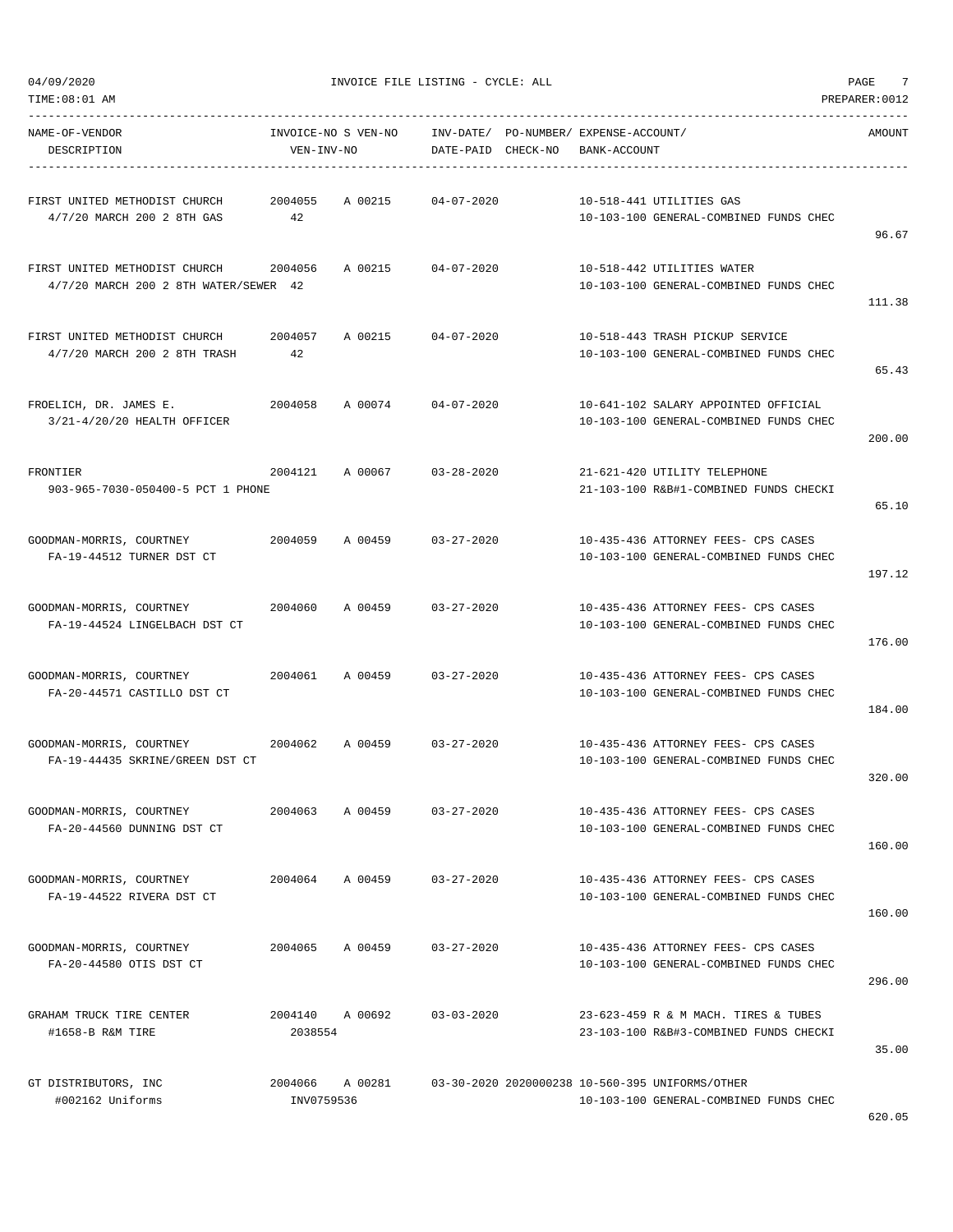| NAME-OF-VENDOR<br>DESCRIPTION                                                       | VEN-INV-NO                 | INVOICE-NO S VEN-NO INV-DATE/ PO-NUMBER/ EXPENSE-ACCOUNT/ | DATE-PAID CHECK-NO BANK-ACCOUNT |  |                                                                                           | AMOUNT |
|-------------------------------------------------------------------------------------|----------------------------|-----------------------------------------------------------|---------------------------------|--|-------------------------------------------------------------------------------------------|--------|
| 4/7/20 MARCH 200 2 8TH GAS                                                          | 42                         |                                                           |                                 |  | 10-518-441 UTILITIES GAS<br>10-103-100 GENERAL-COMBINED FUNDS CHEC                        | 96.67  |
| FIRST UNITED METHODIST CHURCH 2004056<br>4/7/20 MARCH 200 2 8TH WATER/SEWER 42      |                            | A 00215 04-07-2020                                        |                                 |  | 10-518-442 UTILITIES WATER<br>10-103-100 GENERAL-COMBINED FUNDS CHEC                      | 111.38 |
| FIRST UNITED METHODIST CHURCH<br>4/7/20 MARCH 200 2 8TH TRASH                       | 2004057<br>42              | A 00215 04-07-2020                                        |                                 |  | 10-518-443 TRASH PICKUP SERVICE<br>10-103-100 GENERAL-COMBINED FUNDS CHEC                 | 65.43  |
| 3/21-4/20/20 HEALTH OFFICER                                                         |                            |                                                           |                                 |  | 10-641-102 SALARY APPOINTED OFFICIAL<br>10-103-100 GENERAL-COMBINED FUNDS CHEC            | 200.00 |
| FRONTIER<br>903-965-7030-050400-5 PCT 1 PHONE                                       |                            | 2004121 A 00067 03-28-2020                                |                                 |  | 21-621-420 UTILITY TELEPHONE<br>21-103-100 R&B#1-COMBINED FUNDS CHECKI                    | 65.10  |
| GOODMAN-MORRIS, COURTNEY<br>FA-19-44512 TURNER DST CT                               |                            | 2004059 A 00459 03-27-2020                                |                                 |  | 10-435-436 ATTORNEY FEES- CPS CASES<br>10-103-100 GENERAL-COMBINED FUNDS CHEC             | 197.12 |
| GOODMAN-MORRIS, COURTNEY<br>FA-19-44524 LINGELBACH DST CT                           |                            | 2004060 A 00459 03-27-2020                                |                                 |  | 10-435-436 ATTORNEY FEES- CPS CASES<br>10-103-100 GENERAL-COMBINED FUNDS CHEC             | 176.00 |
| GOODMAN-MORRIS, COURTNEY 62004061 A 00459 03-27-2020<br>FA-20-44571 CASTILLO DST CT |                            |                                                           |                                 |  | 10-435-436 ATTORNEY FEES- CPS CASES<br>10-103-100 GENERAL-COMBINED FUNDS CHEC             | 184.00 |
| FA-19-44435 SKRINE/GREEN DST CT                                                     |                            |                                                           |                                 |  | 10-435-436 ATTORNEY FEES- CPS CASES<br>10-103-100 GENERAL-COMBINED FUNDS CHEC             | 320.00 |
| GOODMAN-MORRIS, COURTNEY<br>FA-20-44560 DUNNING DST CT                              | 2004063                    | A 00459                                                   | $03 - 27 - 2020$                |  | 10-435-436 ATTORNEY FEES- CPS CASES<br>10-103-100 GENERAL-COMBINED FUNDS CHEC             | 160.00 |
| GOODMAN-MORRIS, COURTNEY<br>FA-19-44522 RIVERA DST CT                               |                            | 2004064 A 00459 03-27-2020                                |                                 |  | 10-435-436 ATTORNEY FEES- CPS CASES<br>10-103-100 GENERAL-COMBINED FUNDS CHEC             | 160.00 |
| GOODMAN-MORRIS, COURTNEY<br>FA-20-44580 OTIS DST CT                                 | 2004065                    | A 00459                                                   | $03 - 27 - 2020$                |  | 10-435-436 ATTORNEY FEES- CPS CASES<br>10-103-100 GENERAL-COMBINED FUNDS CHEC             | 296.00 |
| GRAHAM TRUCK TIRE CENTER<br>#1658-B R&M TIRE                                        | 2004140 A 00692<br>2038554 |                                                           | $03 - 03 - 2020$                |  | 23-623-459 R & M MACH. TIRES & TUBES<br>23-103-100 R&B#3-COMBINED FUNDS CHECKI            | 35.00  |
| GT DISTRIBUTORS, INC<br>#002162 Uniforms                                            | 2004066<br>INV0759536      | A 00281                                                   |                                 |  | 03-30-2020 2020000238 10-560-395 UNIFORMS/OTHER<br>10-103-100 GENERAL-COMBINED FUNDS CHEC |        |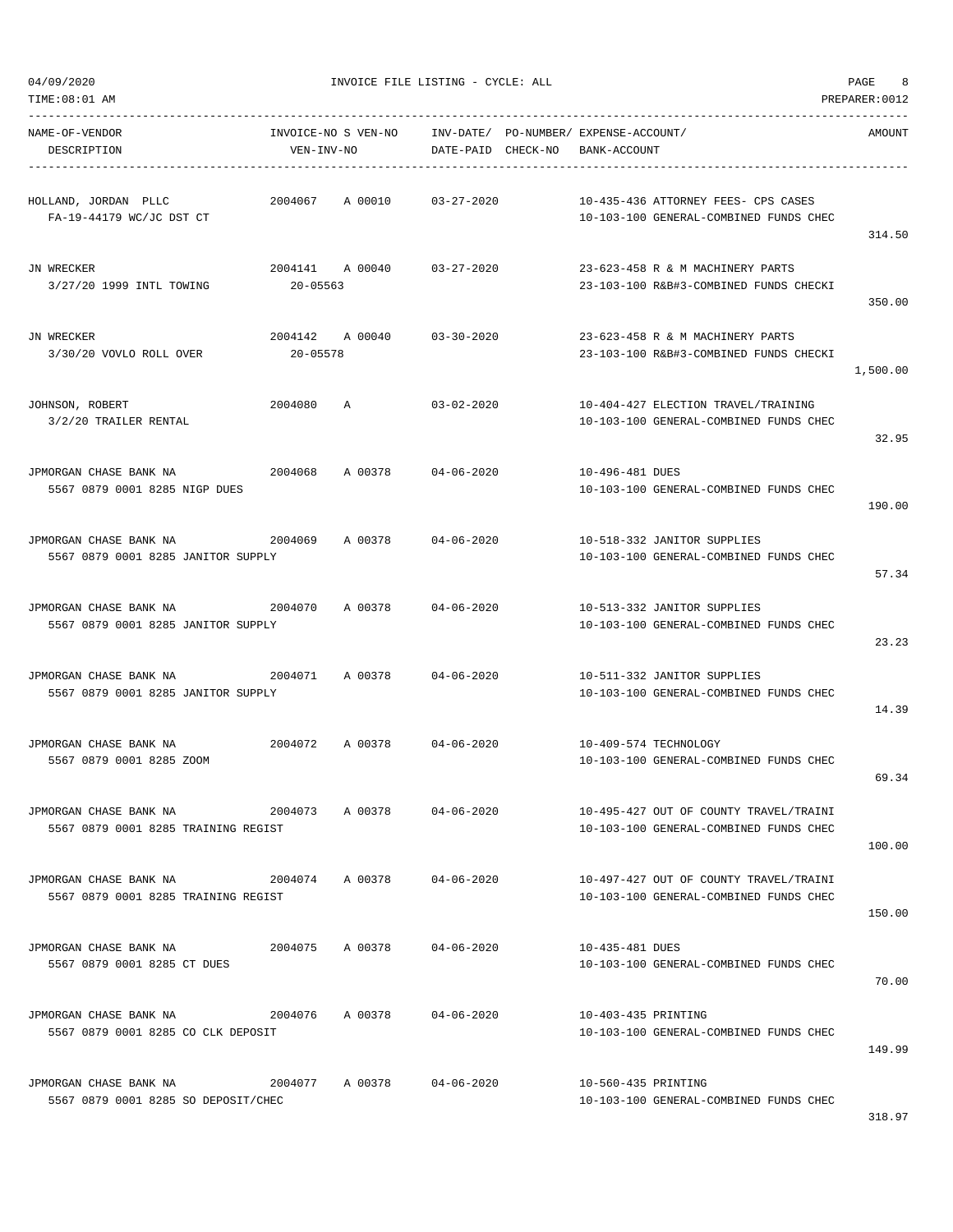| NAME-OF-VENDOR<br>DESCRIPTION                                 | INVOICE-NO S VEN-NO<br>VEN-INV-NO |         | DATE-PAID        | CHECK-NO | INV-DATE/ PO-NUMBER/ EXPENSE-ACCOUNT/<br>BANK-ACCOUNT                            | AMOUNT   |
|---------------------------------------------------------------|-----------------------------------|---------|------------------|----------|----------------------------------------------------------------------------------|----------|
| HOLLAND, JORDAN PLLC<br>FA-19-44179 WC/JC DST CT              | 2004067                           | A 00010 | $03 - 27 - 2020$ |          | 10-435-436 ATTORNEY FEES- CPS CASES<br>10-103-100 GENERAL-COMBINED FUNDS CHEC    | 314.50   |
| JN WRECKER<br>3/27/20 1999 INTL TOWING                        | 2004141<br>$20 - 05563$           | A 00040 | $03 - 27 - 2020$ |          | 23-623-458 R & M MACHINERY PARTS<br>23-103-100 R&B#3-COMBINED FUNDS CHECKI       | 350.00   |
| JN WRECKER<br>3/30/20 VOVLO ROLL OVER                         | 2004142<br>$20 - 05578$           | A 00040 | $03 - 30 - 2020$ |          | 23-623-458 R & M MACHINERY PARTS<br>23-103-100 R&B#3-COMBINED FUNDS CHECKI       | 1,500.00 |
| JOHNSON, ROBERT<br>3/2/20 TRAILER RENTAL                      | 2004080                           | Α       | $03 - 02 - 2020$ |          | 10-404-427 ELECTION TRAVEL/TRAINING<br>10-103-100 GENERAL-COMBINED FUNDS CHEC    | 32.95    |
| JPMORGAN CHASE BANK NA<br>5567 0879 0001 8285 NIGP DUES       | 2004068                           | A 00378 | $04 - 06 - 2020$ |          | 10-496-481 DUES<br>10-103-100 GENERAL-COMBINED FUNDS CHEC                        | 190.00   |
| JPMORGAN CHASE BANK NA<br>5567 0879 0001 8285 JANITOR SUPPLY  | 2004069                           | A 00378 | $04 - 06 - 2020$ |          | 10-518-332 JANITOR SUPPLIES<br>10-103-100 GENERAL-COMBINED FUNDS CHEC            | 57.34    |
| JPMORGAN CHASE BANK NA<br>5567 0879 0001 8285 JANITOR SUPPLY  | 2004070                           | A 00378 | $04 - 06 - 2020$ |          | 10-513-332 JANITOR SUPPLIES<br>10-103-100 GENERAL-COMBINED FUNDS CHEC            | 23.23    |
| JPMORGAN CHASE BANK NA<br>5567 0879 0001 8285 JANITOR SUPPLY  | 2004071                           | A 00378 | $04 - 06 - 2020$ |          | 10-511-332 JANITOR SUPPLIES<br>10-103-100 GENERAL-COMBINED FUNDS CHEC            | 14.39    |
| JPMORGAN CHASE BANK NA<br>5567 0879 0001 8285 ZOOM            | 2004072                           | A 00378 | $04 - 06 - 2020$ |          | 10-409-574 TECHNOLOGY<br>10-103-100 GENERAL-COMBINED FUNDS CHEC                  | 69.34    |
| JPMORGAN CHASE BANK NA<br>5567 0879 0001 8285 TRAINING REGIST | 2004073                           | A 00378 | $04 - 06 - 2020$ |          | 10-495-427 OUT OF COUNTY TRAVEL/TRAINI<br>10-103-100 GENERAL-COMBINED FUNDS CHEC | 100.00   |
| JPMORGAN CHASE BANK NA<br>5567 0879 0001 8285 TRAINING REGIST | 2004074                           | A 00378 | $04 - 06 - 2020$ |          | 10-497-427 OUT OF COUNTY TRAVEL/TRAINI<br>10-103-100 GENERAL-COMBINED FUNDS CHEC | 150.00   |
| JPMORGAN CHASE BANK NA<br>5567 0879 0001 8285 CT DUES         | 2004075                           | A 00378 | $04 - 06 - 2020$ |          | 10-435-481 DUES<br>10-103-100 GENERAL-COMBINED FUNDS CHEC                        | 70.00    |
| JPMORGAN CHASE BANK NA<br>5567 0879 0001 8285 CO CLK DEPOSIT  | 2004076                           | A 00378 | $04 - 06 - 2020$ |          | 10-403-435 PRINTING<br>10-103-100 GENERAL-COMBINED FUNDS CHEC                    | 149.99   |
| JPMORGAN CHASE BANK NA<br>5567 0879 0001 8285 SO DEPOSIT/CHEC | 2004077                           | A 00378 | $04 - 06 - 2020$ |          | 10-560-435 PRINTING<br>10-103-100 GENERAL-COMBINED FUNDS CHEC                    |          |

-----------------------------------------------------------------------------------------------------------------------------------

TIME:08:01 AM PREPARER:0012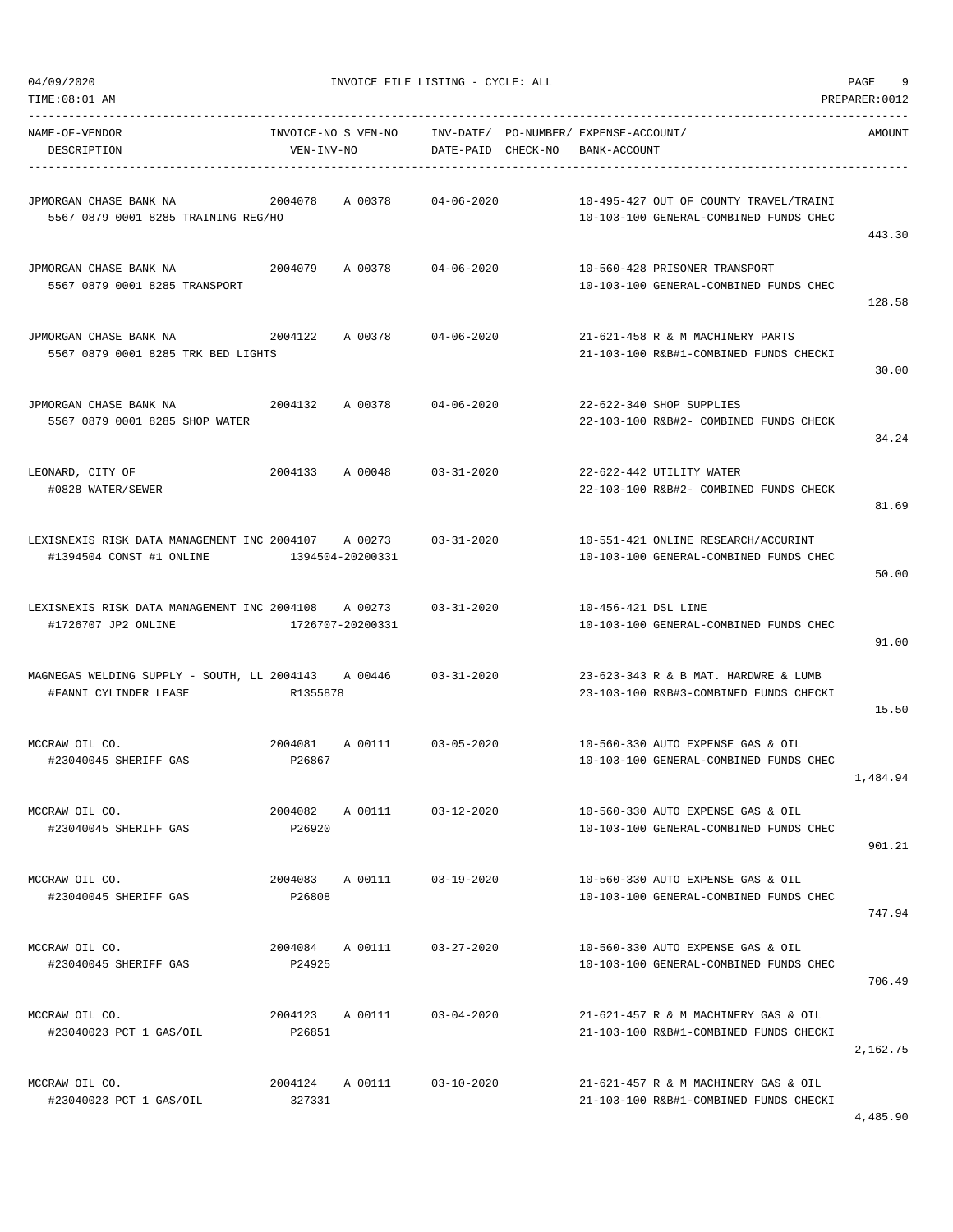| 04/09/2020                                                                                                  |                           | INVOICE FILE LISTING - CYCLE: ALL                              |                    |                     |                                                                                  | PAGE<br>9      |
|-------------------------------------------------------------------------------------------------------------|---------------------------|----------------------------------------------------------------|--------------------|---------------------|----------------------------------------------------------------------------------|----------------|
| TIME:08:01 AM                                                                                               |                           |                                                                |                    |                     |                                                                                  | PREPARER: 0012 |
| NAME-OF-VENDOR<br>DESCRIPTION                                                                               | VEN-INV-NO                | INVOICE-NO S VEN-NO      INV-DATE/ PO-NUMBER/ EXPENSE-ACCOUNT/ | DATE-PAID CHECK-NO | BANK-ACCOUNT        |                                                                                  | AMOUNT         |
| JPMORGAN CHASE BANK NA<br>5567 0879 0001 8285 TRAINING REG/HO                                               | 2004078                   | A 00378                                                        | 04-06-2020         |                     | 10-495-427 OUT OF COUNTY TRAVEL/TRAINI<br>10-103-100 GENERAL-COMBINED FUNDS CHEC | 443.30         |
| JPMORGAN CHASE BANK NA<br>5567 0879 0001 8285 TRANSPORT                                                     |                           | 2004079 A 00378 04-06-2020                                     |                    |                     | 10-560-428 PRISONER TRANSPORT<br>10-103-100 GENERAL-COMBINED FUNDS CHEC          | 128.58         |
| JPMORGAN CHASE BANK NA<br>2004122<br>5567 0879 0001 8285 TRK BED LIGHTS                                     |                           | A 00378                                                        | $04 - 06 - 2020$   |                     | 21-621-458 R & M MACHINERY PARTS<br>21-103-100 R&B#1-COMBINED FUNDS CHECKI       | 30.00          |
| JPMORGAN CHASE BANK NA<br>5567 0879 0001 8285 SHOP WATER                                                    | 2004132 A 00378           |                                                                | $04 - 06 - 2020$   |                     | 22-622-340 SHOP SUPPLIES<br>22-103-100 R&B#2- COMBINED FUNDS CHECK               | 34.24          |
| LEONARD, CITY OF<br>#0828 WATER/SEWER                                                                       |                           | 2004133 A 00048 03-31-2020                                     |                    |                     | 22-622-442 UTILITY WATER<br>22-103-100 R&B#2- COMBINED FUNDS CHECK               | 81.69          |
| LEXISNEXIS RISK DATA MANAGEMENT INC 2004107 A 00273 03-31-2020<br>#1394504 CONST #1 ONLINE 1394504-20200331 |                           |                                                                |                    |                     | 10-551-421 ONLINE RESEARCH/ACCURINT<br>10-103-100 GENERAL-COMBINED FUNDS CHEC    | 50.00          |
| LEXISNEXIS RISK DATA MANAGEMENT INC 2004108 A 00273<br>#1726707 JP2 ONLINE                                  | 1726707-20200331          |                                                                | $03 - 31 - 2020$   | 10-456-421 DSL LINE | 10-103-100 GENERAL-COMBINED FUNDS CHEC                                           | 91.00          |
| MAGNEGAS WELDING SUPPLY - SOUTH, LL 2004143 A 00446 03-31-2020<br>#FANNI CYLINDER LEASE                     | R1355878                  |                                                                |                    |                     | 23-623-343 R & B MAT, HARDWRE & LUMB<br>23-103-100 R&B#3-COMBINED FUNDS CHECKI   | 15.50          |
| MCCRAW OIL CO.<br>#23040045 SHERIFF GAS                                                                     | 2004081<br>P26867         | A 00111 03-05-2020                                             |                    |                     | 10-560-330 AUTO EXPENSE GAS & OIL<br>10-103-100 GENERAL-COMBINED FUNDS CHEC      | 1,484.94       |
| MCCRAW OIL CO.<br>#23040045 SHERIFF GAS                                                                     | 2004082<br>P26920         | A 00111                                                        | $03 - 12 - 2020$   |                     | 10-560-330 AUTO EXPENSE GAS & OIL<br>10-103-100 GENERAL-COMBINED FUNDS CHEC      | 901.21         |
| MCCRAW OIL CO.<br>#23040045 SHERIFF GAS                                                                     | 2004083<br>P26808         | A 00111                                                        | $03 - 19 - 2020$   |                     | 10-560-330 AUTO EXPENSE GAS & OIL<br>10-103-100 GENERAL-COMBINED FUNDS CHEC      | 747.94         |
| MCCRAW OIL CO.<br>#23040045 SHERIFF GAS                                                                     | 2004084 A 00111<br>P24925 |                                                                | $03 - 27 - 2020$   |                     | 10-560-330 AUTO EXPENSE GAS & OIL<br>10-103-100 GENERAL-COMBINED FUNDS CHEC      | 706.49         |
| MCCRAW OIL CO.<br>#23040023 PCT 1 GAS/OIL                                                                   | 2004123 A 00111<br>P26851 |                                                                | $03 - 04 - 2020$   |                     | 21-621-457 R & M MACHINERY GAS & OIL<br>21-103-100 R&B#1-COMBINED FUNDS CHECKI   | 2,162.75       |
| MCCRAW OIL CO.<br>#23040023 PCT 1 GAS/OIL                                                                   | 2004124<br>327331         | A 00111                                                        | $03 - 10 - 2020$   |                     | 21-621-457 R & M MACHINERY GAS & OIL<br>21-103-100 R&B#1-COMBINED FUNDS CHECKI   |                |

4,485.90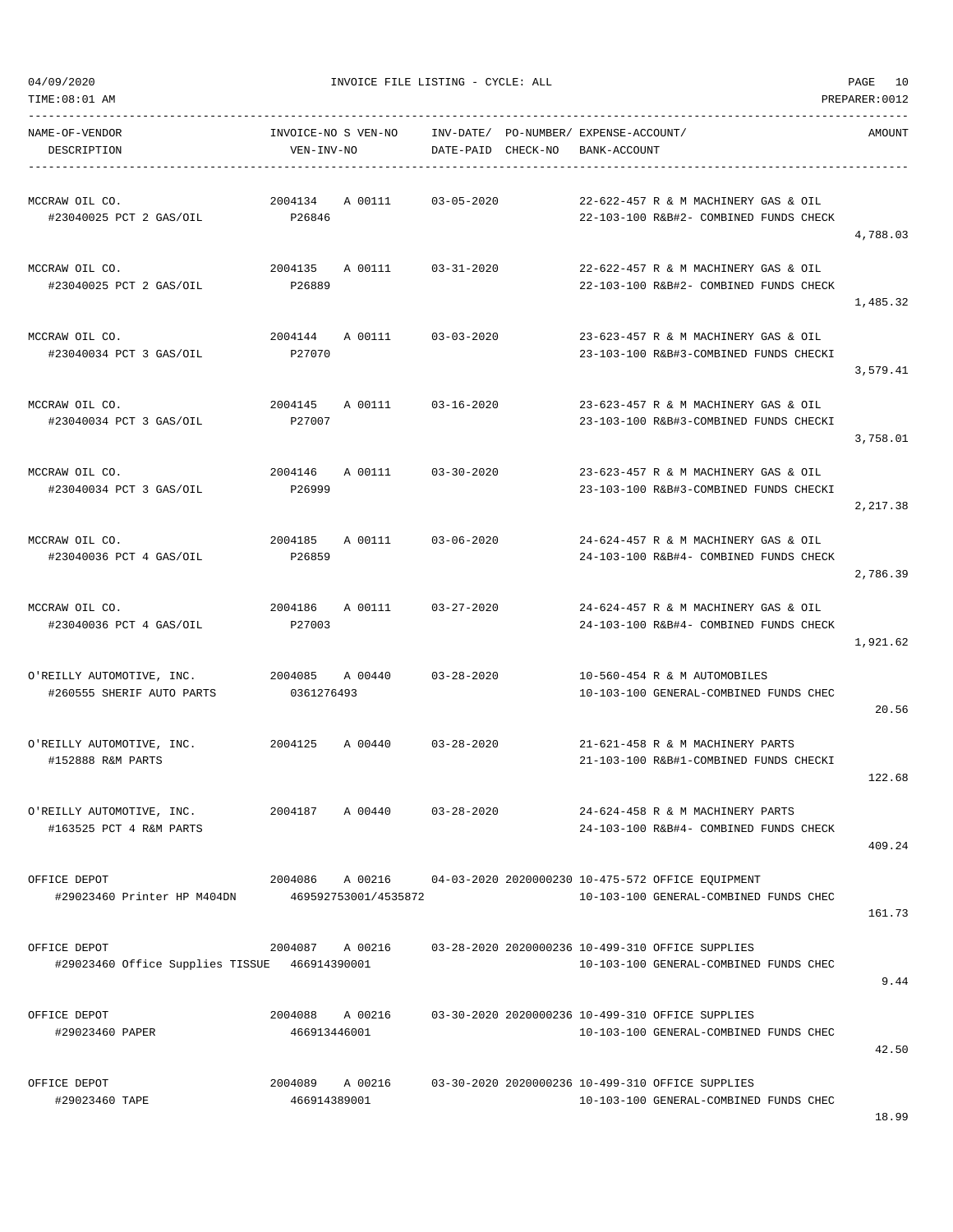TIME:08:01 AM PREPARER:0012

----------------------------------------------------------------------------------------------------------------------------------- NAME-OF-VENDOR INVOICE-NO S VEN-NO INV-DATE/ PO-NUMBER/ EXPENSE-ACCOUNT/ AMOUNT DESCRIPTION VEN-INV-NO DATE-PAID CHECK-NO BANK-ACCOUNT ----------------------------------------------------------------------------------------------------------------------------------- MCCRAW OIL CO. 2004134 A 00111 03-05-2020 22-622-457 R & M MACHINERY GAS & OIL #23040025 PCT 2 GAS/OIL P26846 22-103-100 R&B#2- COMBINED FUNDS CHECK 4,788.03 MCCRAW OIL CO. 2004135 A 00111 03-31-2020 22-622-457 R & M MACHINERY GAS & OIL #23040025 PCT 2 GAS/OIL P26889 22-103-100 R&B#2- COMBINED FUNDS CHECK 1,485.32 MCCRAW OIL CO. 2004144 A 00111 03-03-2020 23-623-457 R & M MACHINERY GAS & OIL #23040034 PCT 3 GAS/OIL P27070 23-103-100 R&B#3-COMBINED FUNDS CHECKI 3,579.41 MCCRAW OIL CO. 2004145 A 00111 03-16-2020 23-623-457 R & M MACHINERY GAS & OIL #23040034 PCT 3 GAS/OIL P27007 23-103-100 R&B#3-COMBINED FUNDS CHECKI 3,758.01 MCCRAW OIL CO. 2004146 A 00111 03-30-2020 23-623-457 R & M MACHINERY GAS & OIL #23040034 PCT 3 GAS/OIL P26999 23-103-100 R&B#3-COMBINED FUNDS CHECKI 2,217.38 MCCRAW OIL CO. 2004185 A 00111 03-06-2020 24-624-457 R & M MACHINERY GAS & OIL #23040036 PCT 4 GAS/OIL P26859 24-103-100 R&B#4- COMBINED FUNDS CHECK 2,786.39 MCCRAW OIL CO. 2004186 A 00111 03-27-2020 24-624-457 R & M MACHINERY GAS & OIL #23040036 PCT 4 GAS/OIL P27003 24-103-100 R&B#4- COMBINED FUNDS CHECK 1,921.62 O'REILLY AUTOMOTIVE, INC. 2004085 A 00440 03-28-2020 10-560-454 R & M AUTOMOBILES #260555 SHERIF AUTO PARTS 0361276493 10-103-100 GENERAL-COMBINED FUNDS CHEC 20.56 O'REILLY AUTOMOTIVE, INC. 2004125 A 00440 03-28-2020 21-621-458 R & M MACHINERY PARTS #152888 R&M PARTS 21-103-100 R&B#1-COMBINED FUNDS CHECKI 122.68 O'REILLY AUTOMOTIVE, INC. 2004187 A 00440 03-28-2020 24-624-458 R & M MACHINERY PARTS #163525 PCT 4 R&M PARTS 24-103-100 R&B#4- COMBINED FUNDS CHECK 409.24 OFFICE DEPOT 2004086 A 00216 04-03-2020 2020000230 10-475-572 OFFICE EQUIPMENT #29023460 Printer HP M404DN 469592753001/4535872 10-103-100 GENERAL-COMBINED FUNDS CHEC 161.73 OFFICE DEPOT 2004087 A 00216 03-28-2020 2020000236 10-499-310 OFFICE SUPPLIES #29023460 Office Supplies TISSUE 466914390001 10-103-100 GENERAL-COMBINED FUNDS CHEC 9.44 OFFICE DEPOT 2004088 A 00216 03-30-2020 2020000236 10-499-310 OFFICE SUPPLIES #29023460 PAPER 466913446001 10-103-100 GENERAL-COMBINED FUNDS CHEC 42.50 OFFICE DEPOT 2004089 A 00216 03-30-2020 2020000236 10-499-310 OFFICE SUPPLIES #29023460 TAPE 466914389001 10-103-100 GENERAL-COMBINED FUNDS CHEC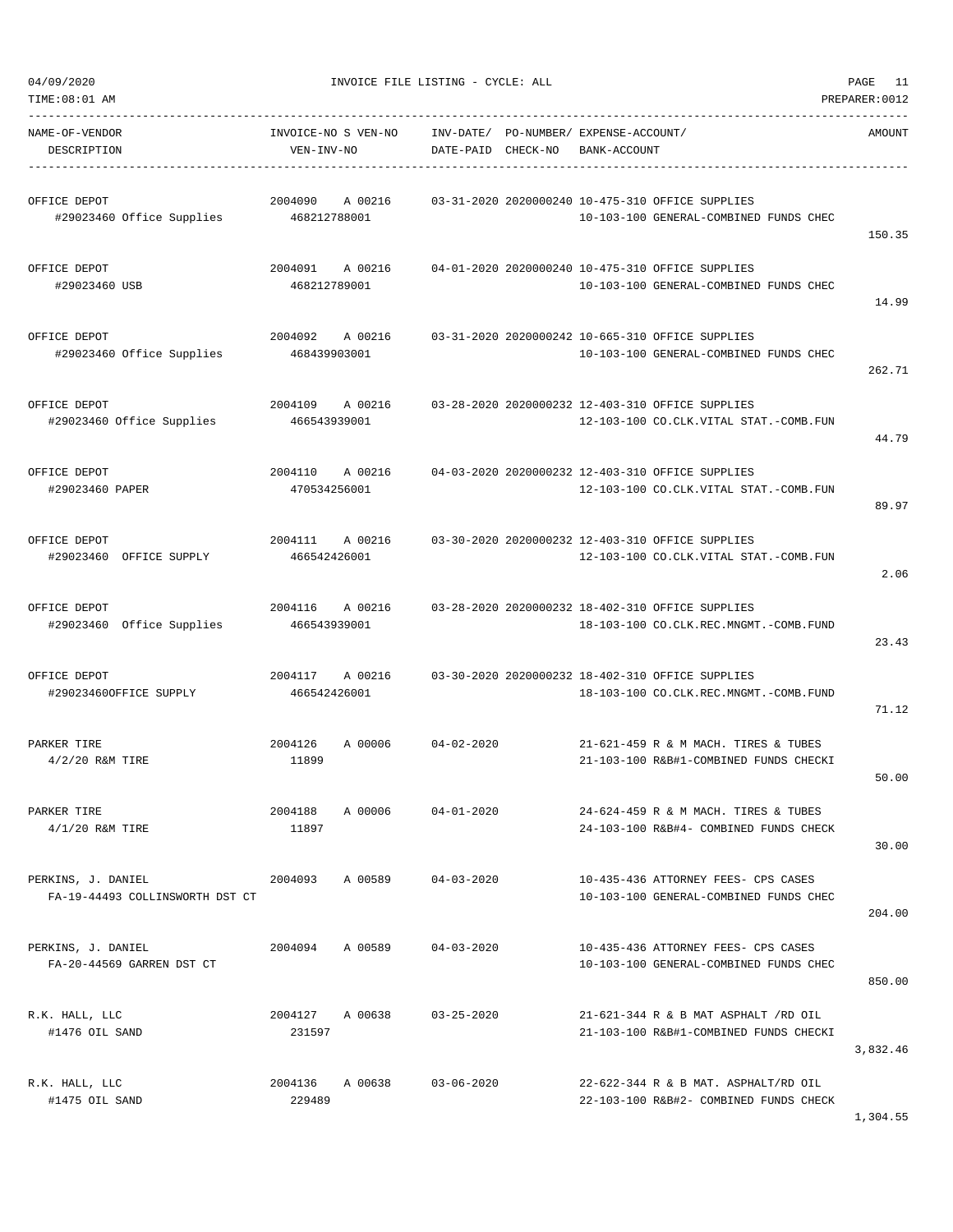| NAME-OF-VENDOR         | S VEN-NO<br>INVOICE-NO S | INV-DATE      | PO-NUMBER/     | EXPENSE-ACCOUNT        | <b>MOUNT</b> |
|------------------------|--------------------------|---------------|----------------|------------------------|--------------|
| יות דיחת דיחות היה היה | $INTZ-NIC$<br>י דריהיד   | חדולת החיירות | $CUTCVI - NIO$ | <b>DANIZ ACCOUNTER</b> |              |

| NAME-OF-VENDOR<br>DESCRIPTION                          | INVOICE-NO S VEN-NO<br>VEN-INV-NO      | DATE-PAID CHECK-NO | INV-DATE/ PO-NUMBER/ EXPENSE-ACCOUNT/<br>BANK-ACCOUNT                                      | AMOUNT   |
|--------------------------------------------------------|----------------------------------------|--------------------|--------------------------------------------------------------------------------------------|----------|
| OFFICE DEPOT<br>#29023460 Office Supplies              | 2004090 A 00216<br>468212788001        |                    | 03-31-2020 2020000240 10-475-310 OFFICE SUPPLIES<br>10-103-100 GENERAL-COMBINED FUNDS CHEC | 150.35   |
| OFFICE DEPOT<br>#29023460 USB                          | 2004091 A 00216<br>468212789001        |                    | 04-01-2020 2020000240 10-475-310 OFFICE SUPPLIES<br>10-103-100 GENERAL-COMBINED FUNDS CHEC | 14.99    |
| OFFICE DEPOT<br>#29023460 Office Supplies 468439903001 | 2004092<br>A 00216                     |                    | 03-31-2020 2020000242 10-665-310 OFFICE SUPPLIES<br>10-103-100 GENERAL-COMBINED FUNDS CHEC | 262.71   |
| OFFICE DEPOT<br>#29023460 Office Supplies              | 2004109 A 00216<br>466543939001        |                    | 03-28-2020 2020000232 12-403-310 OFFICE SUPPLIES<br>12-103-100 CO.CLK.VITAL STAT.-COMB.FUN | 44.79    |
| OFFICE DEPOT<br>#29023460 PAPER                        | 2004110 A 00216<br>470534256001        |                    | 04-03-2020 2020000232 12-403-310 OFFICE SUPPLIES<br>12-103-100 CO.CLK.VITAL STAT.-COMB.FUN | 89.97    |
| OFFICE DEPOT<br>#29023460 OFFICE SUPPLY                | 2004111<br>A 00216<br>466542426001     |                    | 03-30-2020 2020000232 12-403-310 OFFICE SUPPLIES<br>12-103-100 CO.CLK.VITAL STAT.-COMB.FUN | 2.06     |
| OFFICE DEPOT<br>#29023460 Office Supplies              | 2004116 A 00216<br>466543939001        |                    | 03-28-2020 2020000232 18-402-310 OFFICE SUPPLIES<br>18-103-100 CO.CLK.REC.MNGMT.-COMB.FUND | 23.43    |
| OFFICE DEPOT<br>#29023460OFFICE SUPPLY                 | 2004117 A 00216<br>466542426001        |                    | 03-30-2020 2020000232 18-402-310 OFFICE SUPPLIES<br>18-103-100 CO.CLK.REC.MNGMT.-COMB.FUND | 71.12    |
| PARKER TIRE<br>$4/2/20$ R&M TIRE                       | 2004126<br>A 00006 04-02-2020<br>11899 |                    | 21-621-459 R & M MACH. TIRES & TUBES<br>21-103-100 R&B#1-COMBINED FUNDS CHECKI             | 50.00    |
| PARKER TIRE<br>4/1/20 R&M TIRE                         | 2004188 A 00006 04-01-2020<br>11897    |                    | 24-624-459 R & M MACH. TIRES & TUBES<br>24-103-100 R&B#4- COMBINED FUNDS CHECK             | 30.00    |
| PERKINS, J. DANIEL<br>FA-19-44493 COLLINSWORTH DST CT  | 2004093 A 00589                        | $04 - 03 - 2020$   | 10-435-436 ATTORNEY FEES- CPS CASES<br>10-103-100 GENERAL-COMBINED FUNDS CHEC              | 204.00   |
| PERKINS, J. DANIEL<br>FA-20-44569 GARREN DST CT        | 2004094 A 00589                        | 04-03-2020         | 10-435-436 ATTORNEY FEES- CPS CASES<br>10-103-100 GENERAL-COMBINED FUNDS CHEC              | 850.00   |
| R.K. HALL, LLC<br>#1476 OIL SAND                       | 2004127 A 00638<br>231597              | 03-25-2020         | 21-621-344 R & B MAT ASPHALT /RD OIL<br>21-103-100 R&B#1-COMBINED FUNDS CHECKI             | 3,832.46 |
| R.K. HALL, LLC<br>#1475 OIL SAND                       | 2004136 A 00638 03-06-2020<br>229489   |                    | 22-622-344 R & B MAT. ASPHALT/RD OIL<br>22-103-100 R&B#2- COMBINED FUNDS CHECK             |          |
|                                                        |                                        |                    |                                                                                            |          |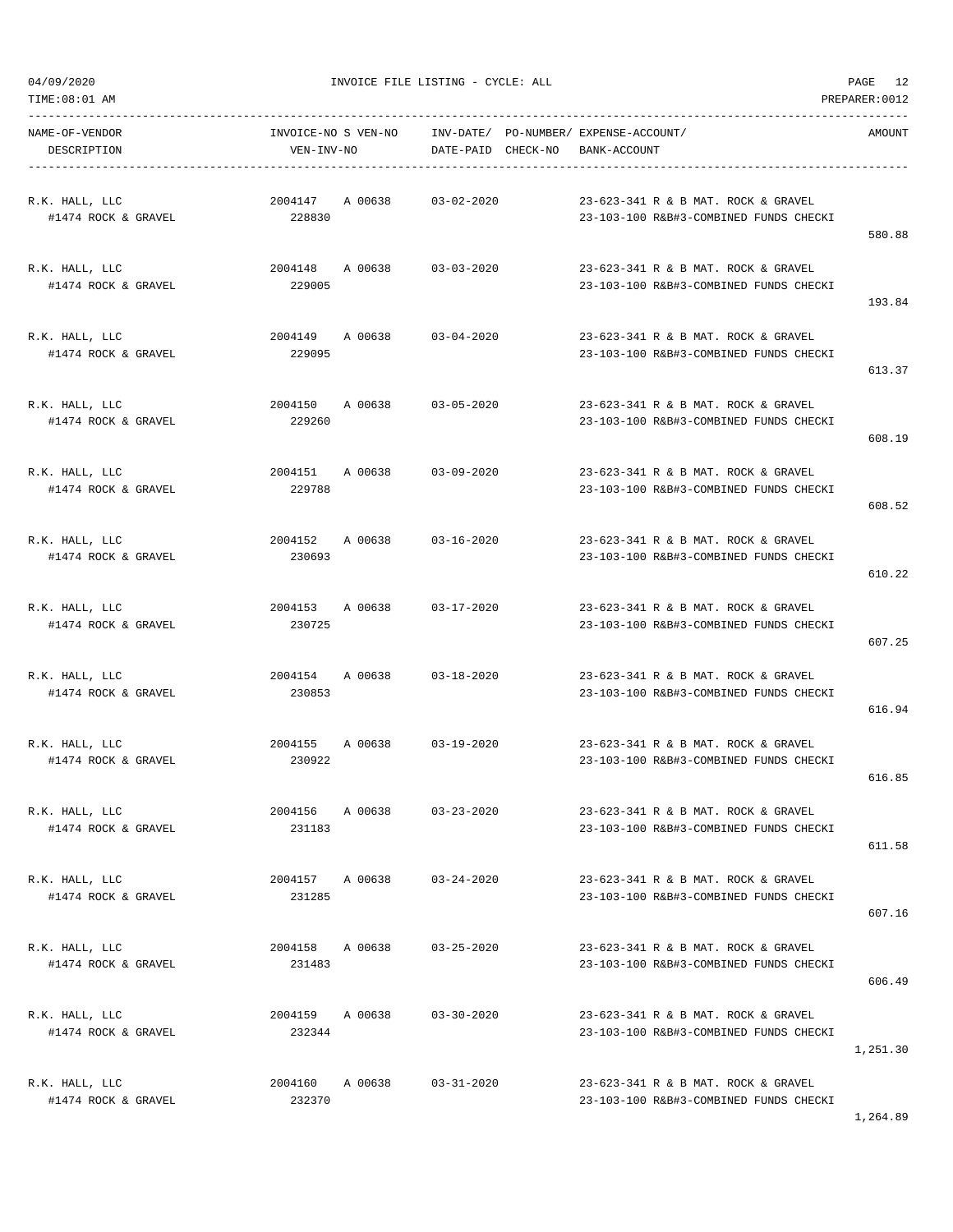TIME:08:01 AM PREPARER:0012 ----------------------------------------------------------------------------------------------------------------------------------- NAME-OF-VENDOR INVOICE-NO S VEN-NO INV-DATE/ PO-NUMBER/ EXPENSE-ACCOUNT/ AMOUNT DESCRIPTION VEN-INV-NO DATE-PAID CHECK-NO BANK-ACCOUNT -----------------------------------------------------------------------------------------------------------------------------------

| R.K. HALL, LLC      | 2004147         | A 00638 | $03 - 02 - 2020$           | 23-623-341 R & B MAT. ROCK & GRAVEL    |          |
|---------------------|-----------------|---------|----------------------------|----------------------------------------|----------|
| #1474 ROCK & GRAVEL | 228830          |         |                            | 23-103-100 R&B#3-COMBINED FUNDS CHECKI |          |
|                     |                 |         |                            |                                        | 580.88   |
|                     |                 |         |                            |                                        |          |
| R.K. HALL, LLC      |                 |         | 2004148 A 00638 03-03-2020 | 23-623-341 R & B MAT. ROCK & GRAVEL    |          |
| #1474 ROCK & GRAVEL | 229005          |         |                            | 23-103-100 R&B#3-COMBINED FUNDS CHECKI |          |
|                     |                 |         |                            |                                        | 193.84   |
|                     |                 |         |                            |                                        |          |
|                     |                 |         |                            |                                        |          |
| R.K. HALL, LLC      |                 |         | 2004149 A 00638 03-04-2020 | 23-623-341 R & B MAT. ROCK & GRAVEL    |          |
| #1474 ROCK & GRAVEL | 229095          |         |                            | 23-103-100 R&B#3-COMBINED FUNDS CHECKI |          |
|                     |                 |         |                            |                                        | 613.37   |
|                     |                 |         |                            |                                        |          |
| R.K. HALL, LLC      | 2004150         |         | A 00638 03-05-2020         | 23-623-341 R & B MAT. ROCK & GRAVEL    |          |
| #1474 ROCK & GRAVEL | 229260          |         |                            | 23-103-100 R&B#3-COMBINED FUNDS CHECKI |          |
|                     |                 |         |                            |                                        | 608.19   |
|                     |                 |         |                            |                                        |          |
| R.K. HALL, LLC      |                 |         | 2004151 A 00638 03-09-2020 | 23-623-341 R & B MAT. ROCK & GRAVEL    |          |
| #1474 ROCK & GRAVEL | 229788          |         |                            | 23-103-100 R&B#3-COMBINED FUNDS CHECKI |          |
|                     |                 |         |                            |                                        | 608.52   |
|                     |                 |         |                            |                                        |          |
| R.K. HALL, LLC      |                 |         | 2004152 A 00638 03-16-2020 | 23-623-341 R & B MAT. ROCK & GRAVEL    |          |
| #1474 ROCK & GRAVEL | 230693          |         |                            | 23-103-100 R&B#3-COMBINED FUNDS CHECKI |          |
|                     |                 |         |                            |                                        | 610.22   |
|                     |                 |         |                            |                                        |          |
|                     |                 |         |                            |                                        |          |
| R.K. HALL, LLC      |                 |         | 2004153 A 00638 03-17-2020 | 23-623-341 R & B MAT. ROCK & GRAVEL    |          |
| #1474 ROCK & GRAVEL | 230725          |         |                            | 23-103-100 R&B#3-COMBINED FUNDS CHECKI |          |
|                     |                 |         |                            |                                        | 607.25   |
|                     |                 |         |                            |                                        |          |
| R.K. HALL, LLC      |                 |         | 2004154 A 00638 03-18-2020 | 23-623-341 R & B MAT. ROCK & GRAVEL    |          |
| #1474 ROCK & GRAVEL | 230853          |         |                            | 23-103-100 R&B#3-COMBINED FUNDS CHECKI |          |
|                     |                 |         |                            |                                        | 616.94   |
|                     |                 |         |                            |                                        |          |
| R.K. HALL, LLC      |                 |         | 2004155 A 00638 03-19-2020 | 23-623-341 R & B MAT. ROCK & GRAVEL    |          |
| #1474 ROCK & GRAVEL | 230922          |         |                            | 23-103-100 R&B#3-COMBINED FUNDS CHECKI |          |
|                     |                 |         |                            |                                        | 616.85   |
|                     |                 |         |                            |                                        |          |
| R.K. HALL, LLC      |                 |         | 2004156 A 00638 03-23-2020 | 23-623-341 R & B MAT. ROCK & GRAVEL    |          |
| #1474 ROCK & GRAVEL | 231183          |         |                            | 23-103-100 R&B#3-COMBINED FUNDS CHECKI |          |
|                     |                 |         |                            |                                        | 611.58   |
|                     |                 |         |                            |                                        |          |
| R.K. HALL, LLC      |                 |         | 2004157 A 00638 03-24-2020 | 23-623-341 R & B MAT. ROCK & GRAVEL    |          |
| #1474 ROCK & GRAVEL | 231285          |         |                            | 23-103-100 R&B#3-COMBINED FUNDS CHECKI |          |
|                     |                 |         |                            |                                        | 607.16   |
|                     |                 |         |                            |                                        |          |
|                     |                 |         |                            |                                        |          |
| R.K. HALL, LLC      |                 |         | 2004158 A 00638 03-25-2020 | 23-623-341 R & B MAT. ROCK & GRAVEL    |          |
| #1474 ROCK & GRAVEL | 231483          |         |                            | 23-103-100 R&B#3-COMBINED FUNDS CHECKI |          |
|                     |                 |         |                            |                                        | 606.49   |
|                     |                 |         |                            |                                        |          |
| R.K. HALL, LLC      | 2004159 A 00638 |         | $03 - 30 - 2020$           | 23-623-341 R & B MAT. ROCK & GRAVEL    |          |
| #1474 ROCK & GRAVEL | 232344          |         |                            | 23-103-100 R&B#3-COMBINED FUNDS CHECKI |          |
|                     |                 |         |                            |                                        | 1,251.30 |
|                     |                 |         |                            |                                        |          |
| R.K. HALL, LLC      | 2004160 A 00638 |         | $03 - 31 - 2020$           | 23-623-341 R & B MAT. ROCK & GRAVEL    |          |
| #1474 ROCK & GRAVEL | 232370          |         |                            | 23-103-100 R&B#3-COMBINED FUNDS CHECKI |          |
|                     |                 |         |                            |                                        | 1,264.89 |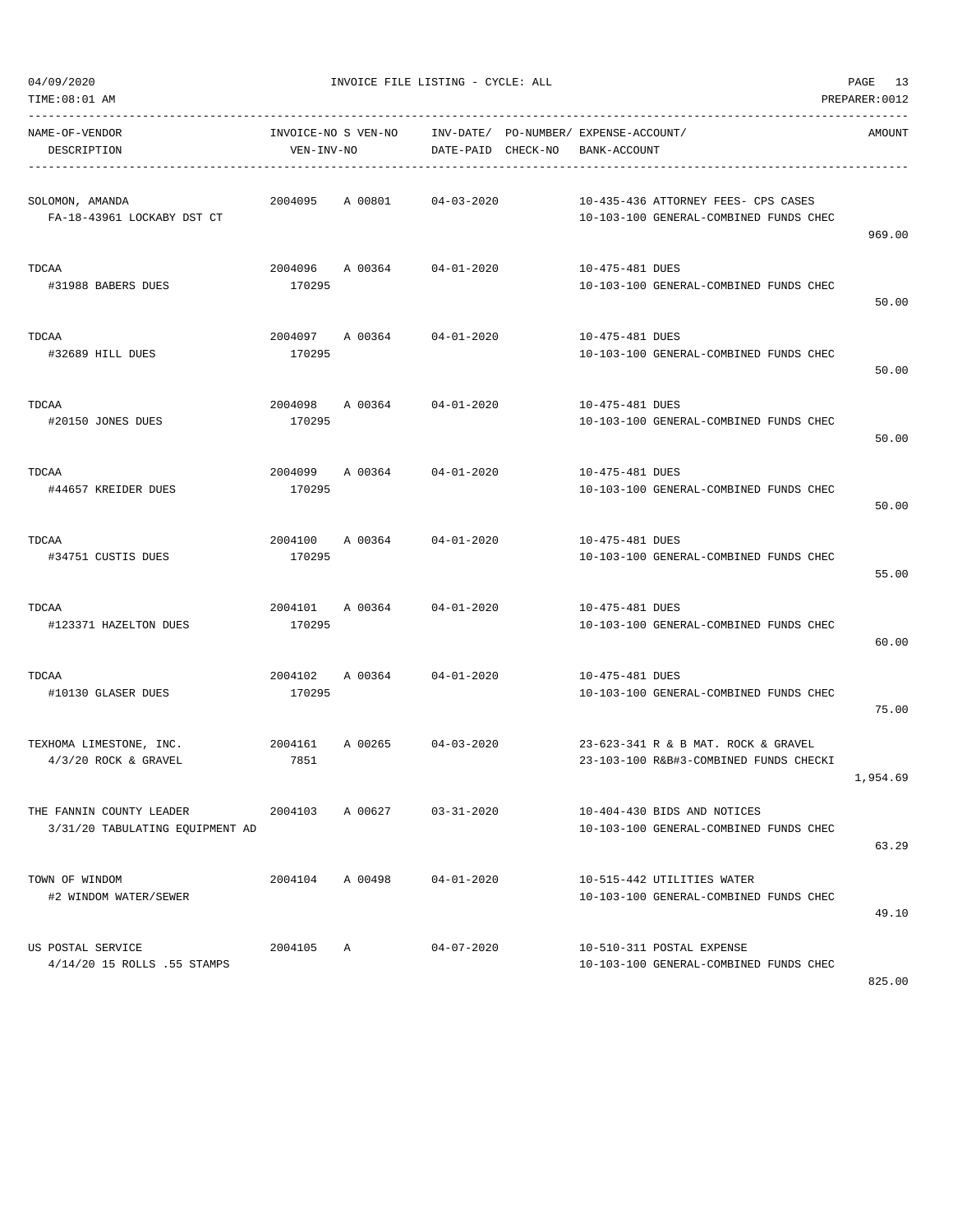|  | 04/09/2020 |  |
|--|------------|--|
|  |            |  |

| TIME: 08:01 AM                                              |                                   |         |                    |                                                       |                                                                               | PREPARER: 0012 |
|-------------------------------------------------------------|-----------------------------------|---------|--------------------|-------------------------------------------------------|-------------------------------------------------------------------------------|----------------|
| NAME-OF-VENDOR<br>DESCRIPTION                               | INVOICE-NO S VEN-NO<br>VEN-INV-NO |         | DATE-PAID CHECK-NO | INV-DATE/ PO-NUMBER/ EXPENSE-ACCOUNT/<br>BANK-ACCOUNT |                                                                               | AMOUNT         |
| SOLOMON, AMANDA<br>FA-18-43961 LOCKABY DST CT               | 2004095                           | A 00801 | $04 - 03 - 2020$   |                                                       | 10-435-436 ATTORNEY FEES- CPS CASES<br>10-103-100 GENERAL-COMBINED FUNDS CHEC | 969.00         |
| TDCAA<br>#31988 BABERS DUES                                 | 2004096 A 00364<br>170295         |         | $04 - 01 - 2020$   | 10-475-481 DUES                                       | 10-103-100 GENERAL-COMBINED FUNDS CHEC                                        | 50.00          |
| TDCAA<br>#32689 HILL DUES                                   | 2004097<br>170295                 | A 00364 | $04 - 01 - 2020$   | 10-475-481 DUES                                       | 10-103-100 GENERAL-COMBINED FUNDS CHEC                                        | 50.00          |
| TDCAA<br>#20150 JONES DUES                                  | 2004098<br>170295                 | A 00364 | $04 - 01 - 2020$   | 10-475-481 DUES                                       | 10-103-100 GENERAL-COMBINED FUNDS CHEC                                        | 50.00          |
| TDCAA<br>#44657 KREIDER DUES                                | 2004099<br>170295                 | A 00364 | $04 - 01 - 2020$   | 10-475-481 DUES                                       | 10-103-100 GENERAL-COMBINED FUNDS CHEC                                        | 50.00          |
| TDCAA<br>#34751 CUSTIS DUES                                 | 2004100<br>170295                 | A 00364 | $04 - 01 - 2020$   | 10-475-481 DUES                                       | 10-103-100 GENERAL-COMBINED FUNDS CHEC                                        | 55.00          |
| TDCAA<br>#123371 HAZELTON DUES                              | 2004101 A 00364<br>170295         |         | $04 - 01 - 2020$   | 10-475-481 DUES                                       | 10-103-100 GENERAL-COMBINED FUNDS CHEC                                        | 60.00          |
| TDCAA<br>#10130 GLASER DUES                                 | 2004102<br>170295                 | A 00364 | $04 - 01 - 2020$   | 10-475-481 DUES                                       | 10-103-100 GENERAL-COMBINED FUNDS CHEC                                        | 75.00          |
| TEXHOMA LIMESTONE, INC.<br>$4/3/20$ ROCK & GRAVEL           | 2004161<br>7851                   | A 00265 | $04 - 03 - 2020$   |                                                       | 23-623-341 R & B MAT. ROCK & GRAVEL<br>23-103-100 R&B#3-COMBINED FUNDS CHECKI | 1,954.69       |
| THE FANNIN COUNTY LEADER<br>3/31/20 TABULATING EQUIPMENT AD | 2004103                           | A 00627 | $03 - 31 - 2020$   |                                                       | 10-404-430 BIDS AND NOTICES<br>10-103-100 GENERAL-COMBINED FUNDS CHEC         | 63.29          |
| TOWN OF WINDOM<br>#2 WINDOM WATER/SEWER                     | 2004104                           | A 00498 | $04 - 01 - 2020$   |                                                       | 10-515-442 UTILITIES WATER<br>10-103-100 GENERAL-COMBINED FUNDS CHEC          | 49.10          |
| US POSTAL SERVICE<br>4/14/20 15 ROLLS .55 STAMPS            | 2004105                           | Α       | $04 - 07 - 2020$   |                                                       | 10-510-311 POSTAL EXPENSE<br>10-103-100 GENERAL-COMBINED FUNDS CHEC           |                |